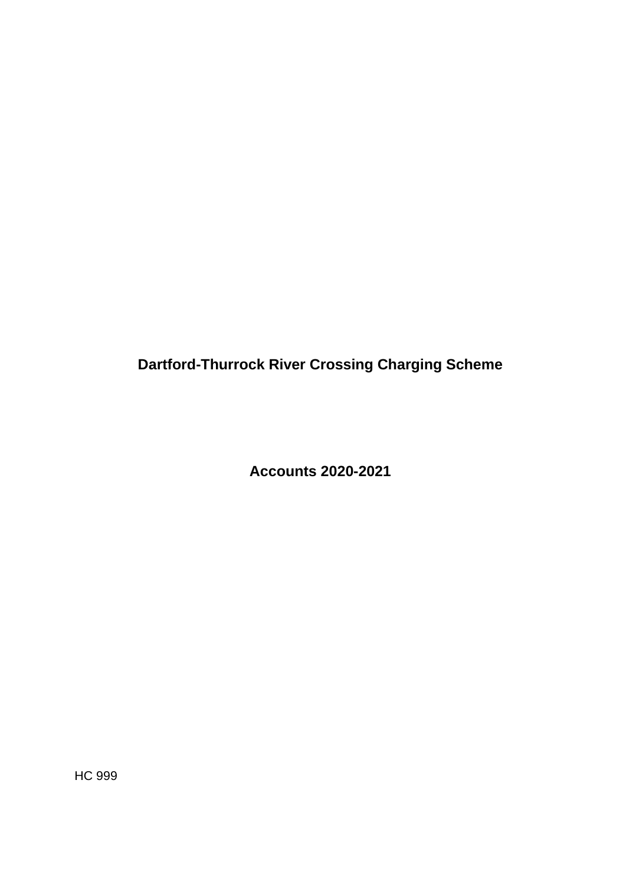**Dartford-Thurrock River Crossing Charging Scheme** 

**Accounts 2020-2021** 

HC 999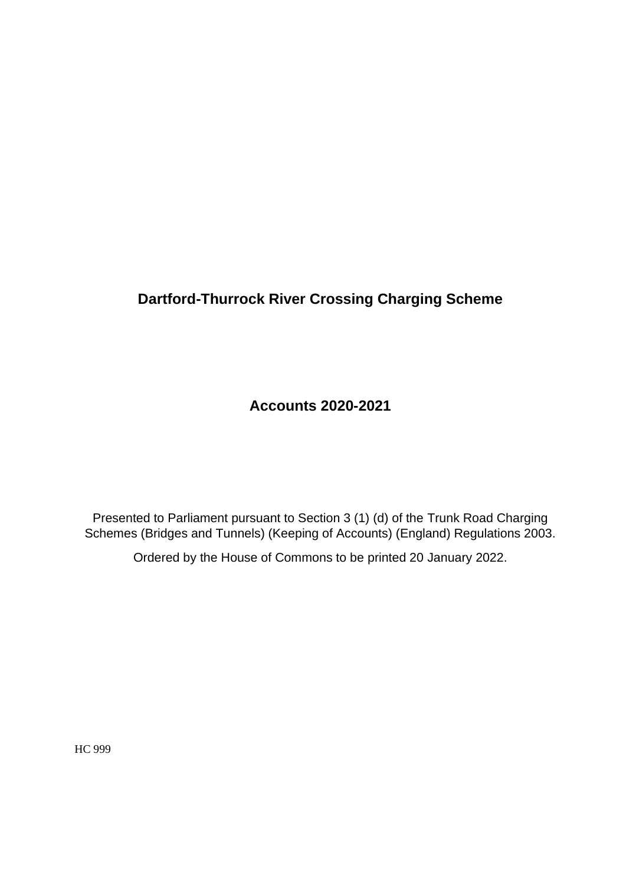# **Dartford-Thurrock River Crossing Charging Scheme**

**Accounts 2020-2021** 

Presented to Parliament pursuant to Section 3 (1) (d) of the Trunk Road Charging Schemes (Bridges and Tunnels) (Keeping of Accounts) (England) Regulations 2003.

Ordered by the House of Commons to be printed 20 January 2022.

HC 999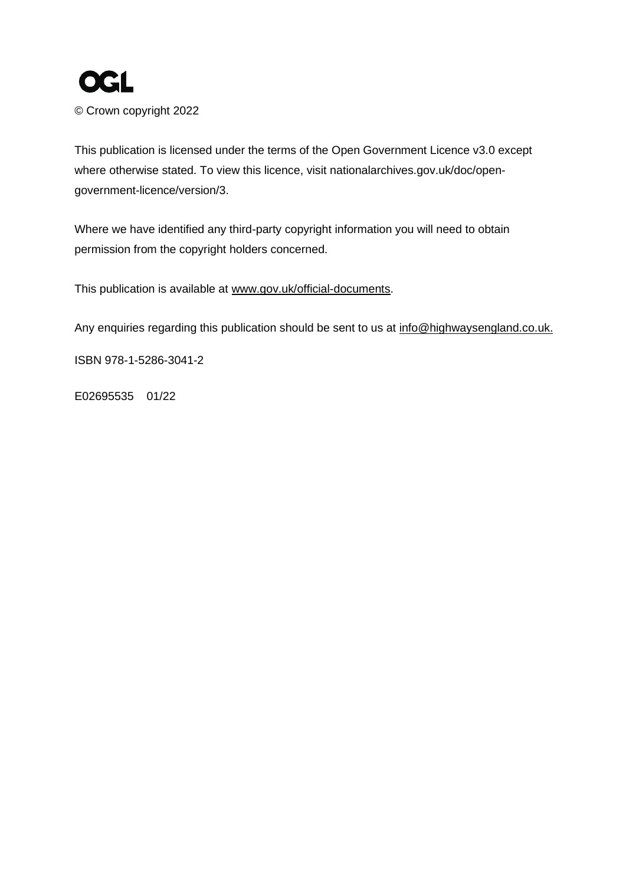

© Crown copyright 2022

This publication is licensed under the terms of the Open Government Licence v3.0 except where otherwise stated. To view this licence, visit [nationalarchives.gov.uk/doc/open](http://www.nationalarchives.gov.uk/doc/open-government-licence/version/3)[government-licence/version/3.](http://www.nationalarchives.gov.uk/doc/open-government-licence/version/3)

Where we have identified any third-party copyright information you will need to obtain permission from the copyright holders concerned.

This publication is available at [www.gov.uk/official-documents.](https://www.gov.uk/government/publications)

Any enquiries regarding this publication should be sent to us at info@highwaysengland.co.uk.

ISBN 978-1-5286-3041-2

E02695535 01/22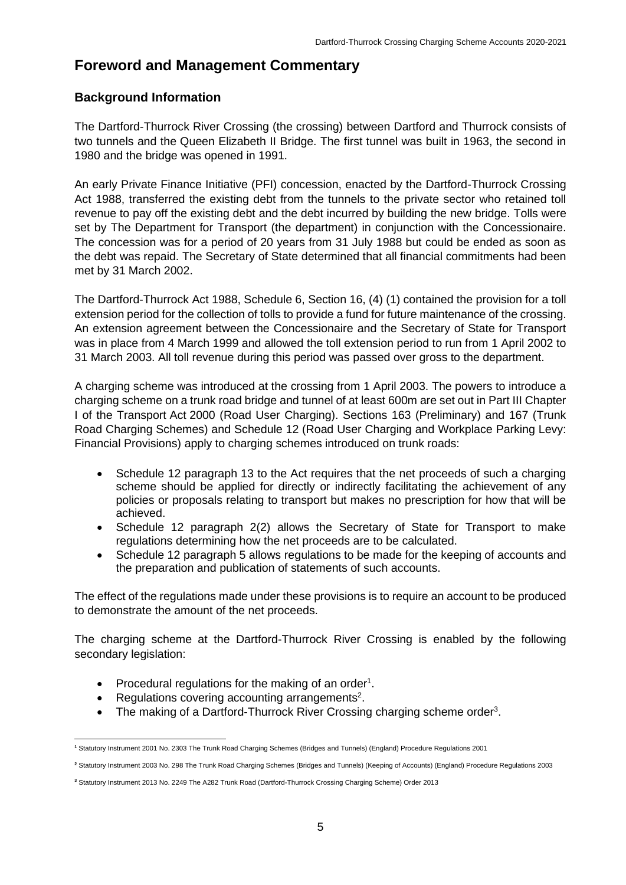# **Foreword and Management Commentary**

### **Background Information**

The Dartford-Thurrock River Crossing (the crossing) between Dartford and Thurrock consists of two tunnels and the Queen Elizabeth II Bridge. The first tunnel was built in 1963, the second in 1980 and the bridge was opened in 1991.

An early Private Finance Initiative (PFI) concession, enacted by the Dartford-Thurrock Crossing Act 1988, transferred the existing debt from the tunnels to the private sector who retained toll revenue to pay off the existing debt and the debt incurred by building the new bridge. Tolls were set by The Department for Transport (the department) in conjunction with the Concessionaire. The concession was for a period of 20 years from 31 July 1988 but could be ended as soon as the debt was repaid. The Secretary of State determined that all financial commitments had been met by 31 March 2002.

The Dartford-Thurrock Act 1988, Schedule 6, Section 16, (4) (1) contained the provision for a toll extension period for the collection of tolls to provide a fund for future maintenance of the crossing. An extension agreement between the Concessionaire and the Secretary of State for Transport was in place from 4 March 1999 and allowed the toll extension period to run from 1 April 2002 to 31 March 2003. All toll revenue during this period was passed over gross to the department.

A charging scheme was introduced at the crossing from 1 April 2003. The powers to introduce a charging scheme on a trunk road bridge and tunnel of at least 600m are set out in Part III Chapter I of the Transport Act 2000 (Road User Charging). Sections 163 (Preliminary) and 167 (Trunk Road Charging Schemes) and Schedule 12 (Road User Charging and Workplace Parking Levy: Financial Provisions) apply to charging schemes introduced on trunk roads:

- Schedule 12 paragraph 13 to the Act requires that the net proceeds of such a charging scheme should be applied for directly or indirectly facilitating the achievement of any policies or proposals relating to transport but makes no prescription for how that will be achieved.
- Schedule 12 paragraph 2(2) allows the Secretary of State for Transport to make regulations determining how the net proceeds are to be calculated.
- Schedule 12 paragraph 5 allows regulations to be made for the keeping of accounts and the preparation and publication of statements of such accounts.

The effect of the regulations made under these provisions is to require an account to be produced to demonstrate the amount of the net proceeds.

The charging scheme at the Dartford-Thurrock River Crossing is enabled by the following secondary legislation:

- Procedural regulations for the making of an order<sup>1</sup>.
- Regulations covering accounting arrangements<sup>2</sup>.
- The making of a Dartford-Thurrock River Crossing charging scheme order<sup>3</sup>.

**<sup>1</sup>** Statutory Instrument 2001 No. 2303 The Trunk Road Charging Schemes (Bridges and Tunnels) (England) Procedure Regulations 2001

**<sup>2</sup>** Statutory Instrument 2003 No. 298 The Trunk Road Charging Schemes (Bridges and Tunnels) (Keeping of Accounts) (England) Procedure Regulations 2003

**<sup>3</sup>** Statutory Instrument 2013 No. 2249 The A282 Trunk Road (Dartford-Thurrock Crossing Charging Scheme) Order 2013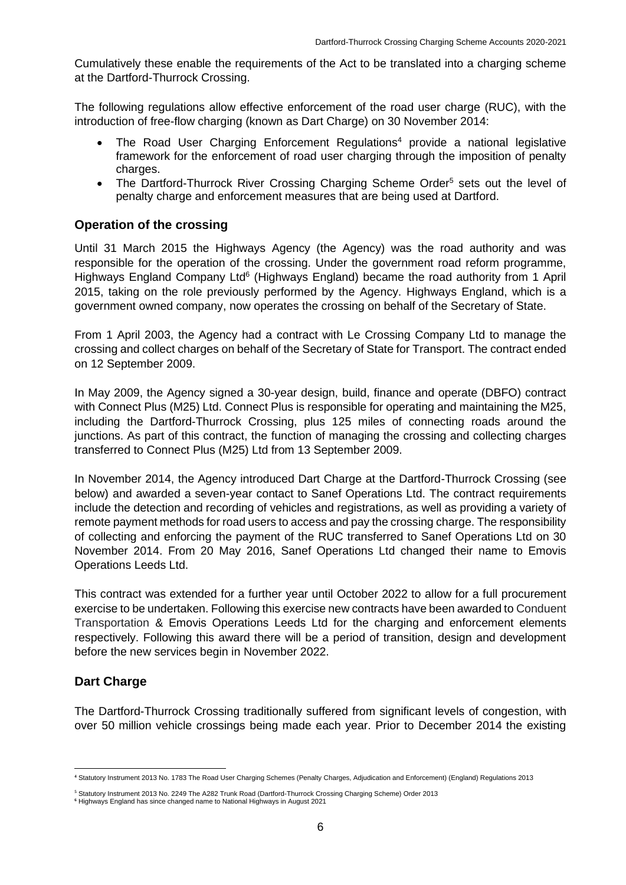Cumulatively these enable the requirements of the Act to be translated into a charging scheme at the Dartford-Thurrock Crossing.

The following regulations allow effective enforcement of the road user charge (RUC), with the introduction of free-flow charging (known as Dart Charge) on 30 November 2014:

- The Road User Charging Enforcement Regulations<sup>4</sup> provide a national legislative framework for the enforcement of road user charging through the imposition of penalty charges.
- The Dartford-Thurrock River Crossing Charging Scheme Order<sup>5</sup> sets out the level of penalty charge and enforcement measures that are being used at Dartford.

### **Operation of the crossing**

Until 31 March 2015 the Highways Agency (the Agency) was the road authority and was responsible for the operation of the crossing. Under the government road reform programme, Highways England Company Ltd<sup>6</sup> (Highways England) became the road authority from 1 April 2015, taking on the role previously performed by the Agency. Highways England, which is a government owned company, now operates the crossing on behalf of the Secretary of State.

From 1 April 2003, the Agency had a contract with Le Crossing Company Ltd to manage the crossing and collect charges on behalf of the Secretary of State for Transport. The contract ended on 12 September 2009.

In May 2009, the Agency signed a 30-year design, build, finance and operate (DBFO) contract with Connect Plus (M25) Ltd. Connect Plus is responsible for operating and maintaining the M25, including the Dartford-Thurrock Crossing, plus 125 miles of connecting roads around the junctions. As part of this contract, the function of managing the crossing and collecting charges transferred to Connect Plus (M25) Ltd from 13 September 2009.

In November 2014, the Agency introduced Dart Charge at the Dartford-Thurrock Crossing (see below) and awarded a seven-year contact to Sanef Operations Ltd. The contract requirements include the detection and recording of vehicles and registrations, as well as providing a variety of remote payment methods for road users to access and pay the crossing charge. The responsibility of collecting and enforcing the payment of the RUC transferred to Sanef Operations Ltd on 30 November 2014. From 20 May 2016, Sanef Operations Ltd changed their name to Emovis Operations Leeds Ltd.

This contract was extended for a further year until October 2022 to allow for a full procurement exercise to be undertaken. Following this exercise new contracts have been awarded to Conduent Transportation & Emovis Operations Leeds Ltd for the charging and enforcement elements respectively. Following this award there will be a period of transition, design and development before the new services begin in November 2022.

### **Dart Charge**

The Dartford-Thurrock Crossing traditionally suffered from significant levels of congestion, with over 50 million vehicle crossings being made each year. Prior to December 2014 the existing

**<sup>4</sup>** Statutory Instrument 2013 No. 1783 The Road User Charging Schemes (Penalty Charges, Adjudication and Enforcement) (England) Regulations 2013

**<sup>5</sup>** Statutory Instrument 2013 No. 2249 The A282 Trunk Road (Dartford-Thurrock Crossing Charging Scheme) Order 2013

**<sup>6</sup>** Highways England has since changed name to National Highways in August 2021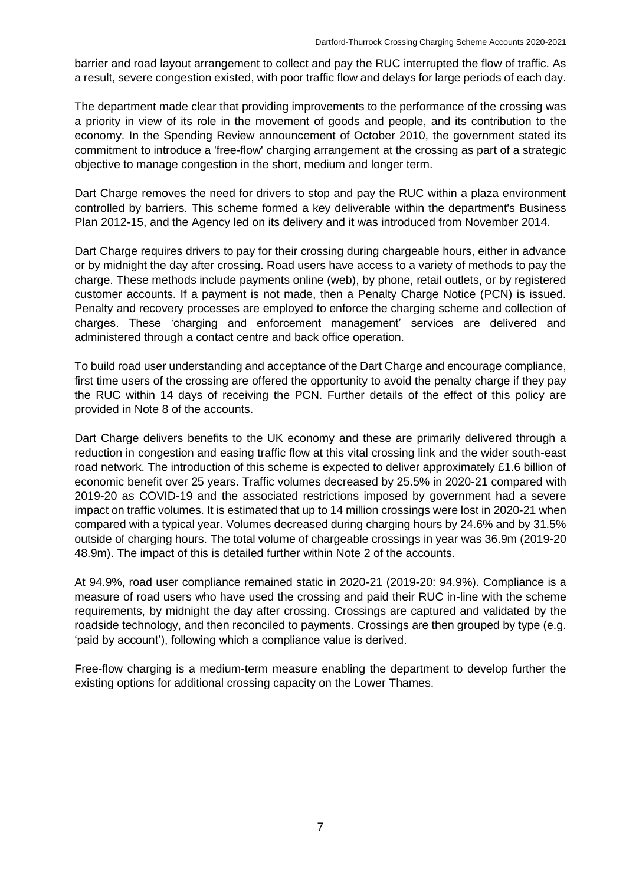barrier and road layout arrangement to collect and pay the RUC interrupted the flow of traffic. As a result, severe congestion existed, with poor traffic flow and delays for large periods of each day.

The department made clear that providing improvements to the performance of the crossing was a priority in view of its role in the movement of goods and people, and its contribution to the economy. In the Spending Review announcement of October 2010, the government stated its commitment to introduce a 'free-flow' charging arrangement at the crossing as part of a strategic objective to manage congestion in the short, medium and longer term.

Dart Charge removes the need for drivers to stop and pay the RUC within a plaza environment controlled by barriers. This scheme formed a key deliverable within the department's Business Plan 2012-15, and the Agency led on its delivery and it was introduced from November 2014.

Dart Charge requires drivers to pay for their crossing during chargeable hours, either in advance or by midnight the day after crossing. Road users have access to a variety of methods to pay the charge. These methods include payments online (web), by phone, retail outlets, or by registered customer accounts. If a payment is not made, then a Penalty Charge Notice (PCN) is issued. Penalty and recovery processes are employed to enforce the charging scheme and collection of charges. These 'charging and enforcement management' services are delivered and administered through a contact centre and back office operation.

To build road user understanding and acceptance of the Dart Charge and encourage compliance, first time users of the crossing are offered the opportunity to avoid the penalty charge if they pay the RUC within 14 days of receiving the PCN. Further details of the effect of this policy are provided in Note 8 of the accounts.

Dart Charge delivers benefits to the UK economy and these are primarily delivered through a reduction in congestion and easing traffic flow at this vital crossing link and the wider south-east road network. The introduction of this scheme is expected to deliver approximately £1.6 billion of economic benefit over 25 years. Traffic volumes decreased by 25.5% in 2020-21 compared with 2019-20 as COVID-19 and the associated restrictions imposed by government had a severe impact on traffic volumes. It is estimated that up to 14 million crossings were lost in 2020-21 when compared with a typical year. Volumes decreased during charging hours by 24.6% and by 31.5% outside of charging hours. The total volume of chargeable crossings in year was 36.9m (2019-20 48.9m). The impact of this is detailed further within Note 2 of the accounts.

At 94.9%, road user compliance remained static in 2020-21 (2019-20: 94.9%). Compliance is a measure of road users who have used the crossing and paid their RUC in-line with the scheme requirements, by midnight the day after crossing. Crossings are captured and validated by the roadside technology, and then reconciled to payments. Crossings are then grouped by type (e.g. 'paid by account'), following which a compliance value is derived.

Free-flow charging is a medium-term measure enabling the department to develop further the existing options for additional crossing capacity on the Lower Thames.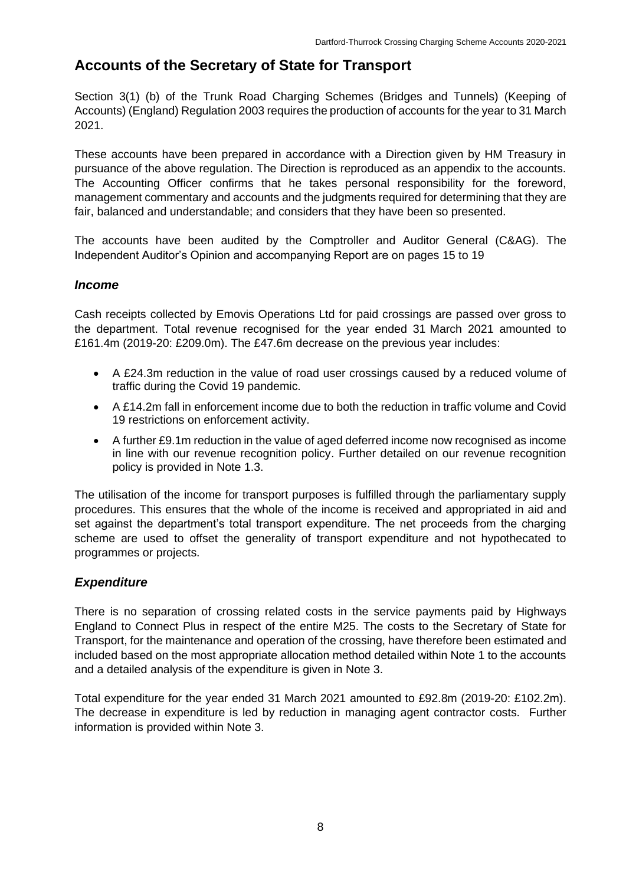# **Accounts of the Secretary of State for Transport**

Section 3(1) (b) of the Trunk Road Charging Schemes (Bridges and Tunnels) (Keeping of Accounts) (England) Regulation 2003 requires the production of accounts for the year to 31 March 2021.

These accounts have been prepared in accordance with a Direction given by HM Treasury in pursuance of the above regulation. The Direction is reproduced as an appendix to the accounts. The Accounting Officer confirms that he takes personal responsibility for the foreword, management commentary and accounts and the judgments required for determining that they are fair, balanced and understandable; and considers that they have been so presented.

The accounts have been audited by the Comptroller and Auditor General (C&AG). The Independent Auditor's Opinion and accompanying Report are on pages 15 to 19

### *Income*

Cash receipts collected by Emovis Operations Ltd for paid crossings are passed over gross to the department. Total revenue recognised for the year ended 31 March 2021 amounted to £161.4m (2019-20: £209.0m). The £47.6m decrease on the previous year includes:

- A £24.3m reduction in the value of road user crossings caused by a reduced volume of traffic during the Covid 19 pandemic.
- A £14.2m fall in enforcement income due to both the reduction in traffic volume and Covid 19 restrictions on enforcement activity.
- A further £9.1m reduction in the value of aged deferred income now recognised as income in line with our revenue recognition policy. Further detailed on our revenue recognition policy is provided in Note 1.3.

The utilisation of the income for transport purposes is fulfilled through the parliamentary supply procedures. This ensures that the whole of the income is received and appropriated in aid and set against the department's total transport expenditure. The net proceeds from the charging scheme are used to offset the generality of transport expenditure and not hypothecated to programmes or projects.

### *Expenditure*

There is no separation of crossing related costs in the service payments paid by Highways England to Connect Plus in respect of the entire M25. The costs to the Secretary of State for Transport, for the maintenance and operation of the crossing, have therefore been estimated and included based on the most appropriate allocation method detailed within Note 1 to the accounts and a detailed analysis of the expenditure is given in Note 3.

Total expenditure for the year ended 31 March 2021 amounted to £92.8m (2019-20: £102.2m). The decrease in expenditure is led by reduction in managing agent contractor costs. Further information is provided within Note 3.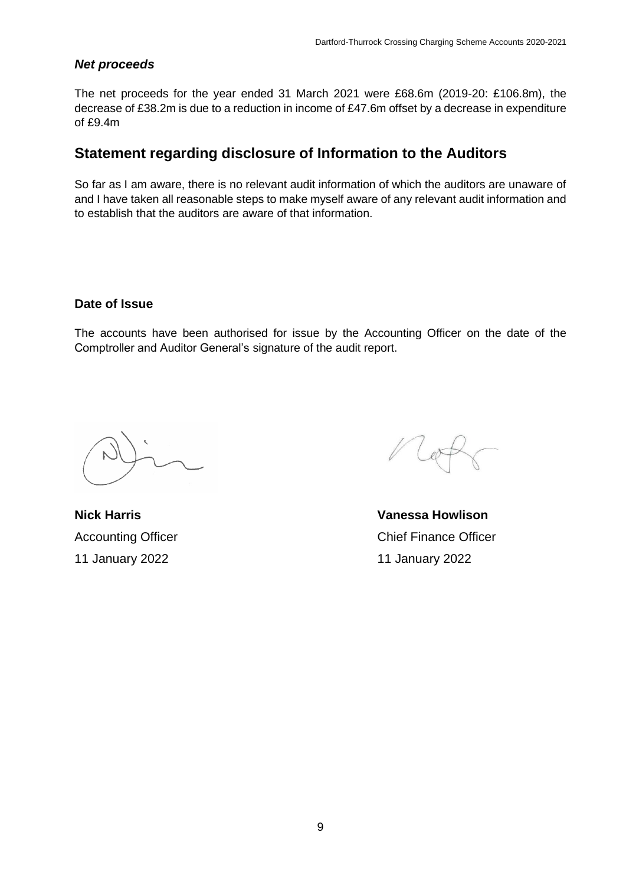### *Net proceeds*

The net proceeds for the year ended 31 March 2021 were £68.6m (2019-20: £106.8m), the decrease of £38.2m is due to a reduction in income of £47.6m offset by a decrease in expenditure of £9.4m

## **Statement regarding disclosure of Information to the Auditors**

So far as I am aware, there is no relevant audit information of which the auditors are unaware of and I have taken all reasonable steps to make myself aware of any relevant audit information and to establish that the auditors are aware of that information.

### **Date of Issue**

The accounts have been authorised for issue by the Accounting Officer on the date of the Comptroller and Auditor General's signature of the audit report.

**Nick Harris**  Accounting Officer 11 January 2022

**Vanessa Howlison**  Chief Finance Officer 11 January 2022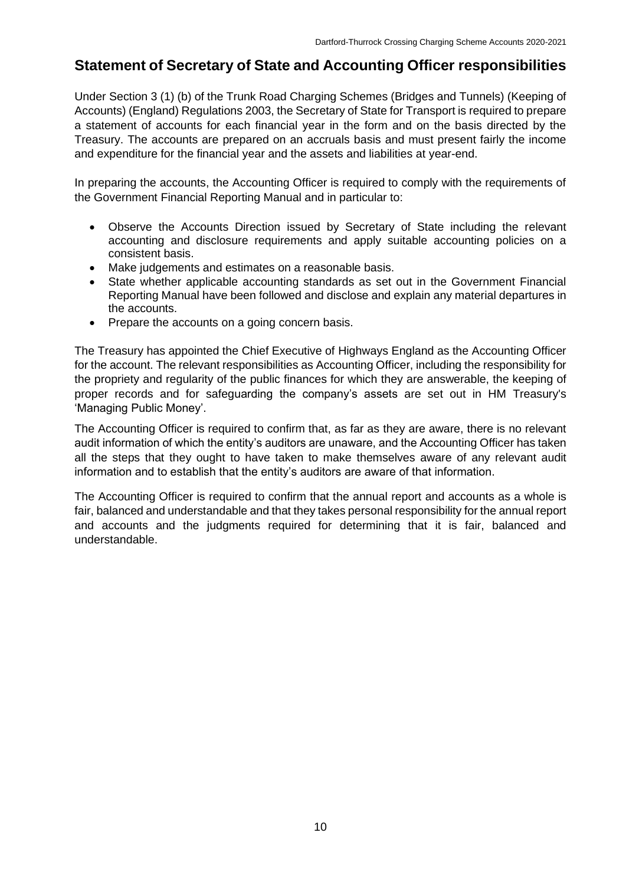# **Statement of Secretary of State and Accounting Officer responsibilities**

Under Section 3 (1) (b) of the Trunk Road Charging Schemes (Bridges and Tunnels) (Keeping of Accounts) (England) Regulations 2003, the Secretary of State for Transport is required to prepare a statement of accounts for each financial year in the form and on the basis directed by the Treasury. The accounts are prepared on an accruals basis and must present fairly the income and expenditure for the financial year and the assets and liabilities at year-end.

In preparing the accounts, the Accounting Officer is required to comply with the requirements of the Government Financial Reporting Manual and in particular to:

- Observe the Accounts Direction issued by Secretary of State including the relevant accounting and disclosure requirements and apply suitable accounting policies on a consistent basis.
- Make judgements and estimates on a reasonable basis.
- State whether applicable accounting standards as set out in the Government Financial Reporting Manual have been followed and disclose and explain any material departures in the accounts.
- Prepare the accounts on a going concern basis.

The Treasury has appointed the Chief Executive of Highways England as the Accounting Officer for the account. The relevant responsibilities as Accounting Officer, including the responsibility for the propriety and regularity of the public finances for which they are answerable, the keeping of proper records and for safeguarding the company's assets are set out in HM Treasury's 'Managing Public Money'.

The Accounting Officer is required to confirm that, as far as they are aware, there is no relevant audit information of which the entity's auditors are unaware, and the Accounting Officer has taken all the steps that they ought to have taken to make themselves aware of any relevant audit information and to establish that the entity's auditors are aware of that information.

The Accounting Officer is required to confirm that the annual report and accounts as a whole is fair, balanced and understandable and that they takes personal responsibility for the annual report and accounts and the judgments required for determining that it is fair, balanced and understandable.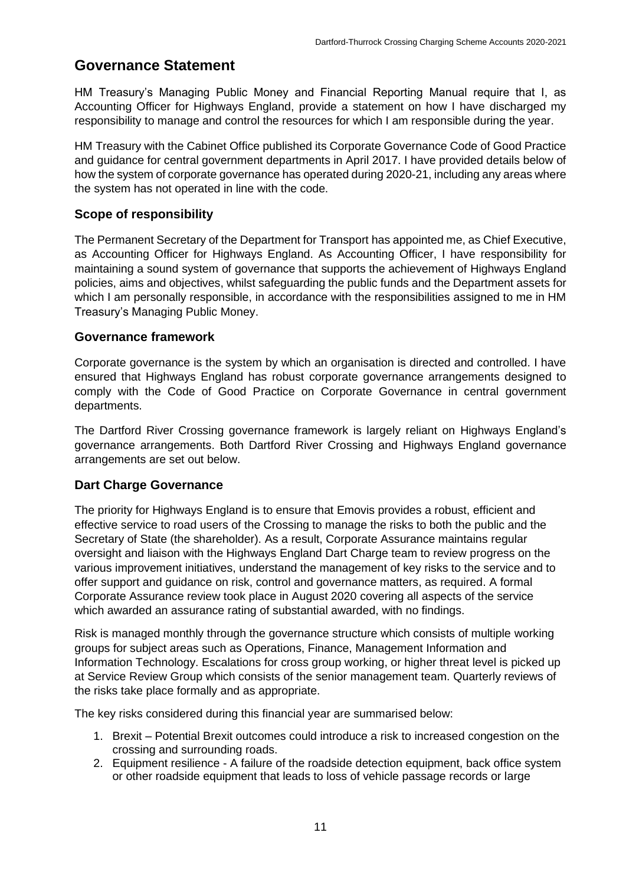# **Governance Statement**

HM Treasury's Managing Public Money and Financial Reporting Manual require that I, as Accounting Officer for Highways England, provide a statement on how I have discharged my responsibility to manage and control the resources for which I am responsible during the year.

HM Treasury with the Cabinet Office published its Corporate Governance Code of Good Practice and guidance for central government departments in April 2017. I have provided details below of how the system of corporate governance has operated during 2020-21, including any areas where the system has not operated in line with the code.

### **Scope of responsibility**

The Permanent Secretary of the Department for Transport has appointed me, as Chief Executive, as Accounting Officer for Highways England. As Accounting Officer, I have responsibility for maintaining a sound system of governance that supports the achievement of Highways England policies, aims and objectives, whilst safeguarding the public funds and the Department assets for which I am personally responsible, in accordance with the responsibilities assigned to me in HM Treasury's Managing Public Money.

### **Governance framework**

Corporate governance is the system by which an organisation is directed and controlled. I have ensured that Highways England has robust corporate governance arrangements designed to comply with the Code of Good Practice on Corporate Governance in central government departments.

The Dartford River Crossing governance framework is largely reliant on Highways England's governance arrangements. Both Dartford River Crossing and Highways England governance arrangements are set out below.

### **Dart Charge Governance**

The priority for Highways England is to ensure that Emovis provides a robust, efficient and effective service to road users of the Crossing to manage the risks to both the public and the Secretary of State (the shareholder). As a result, Corporate Assurance maintains regular oversight and liaison with the Highways England Dart Charge team to review progress on the various improvement initiatives, understand the management of key risks to the service and to offer support and guidance on risk, control and governance matters, as required. A formal Corporate Assurance review took place in August 2020 covering all aspects of the service which awarded an assurance rating of substantial awarded, with no findings.

Risk is managed monthly through the governance structure which consists of multiple working groups for subject areas such as Operations, Finance, Management Information and Information Technology. Escalations for cross group working, or higher threat level is picked up at Service Review Group which consists of the senior management team. Quarterly reviews of the risks take place formally and as appropriate.

The key risks considered during this financial year are summarised below:

- 1. Brexit Potential Brexit outcomes could introduce a risk to increased congestion on the crossing and surrounding roads.
- 2. Equipment resilience A failure of the roadside detection equipment, back office system or other roadside equipment that leads to loss of vehicle passage records or large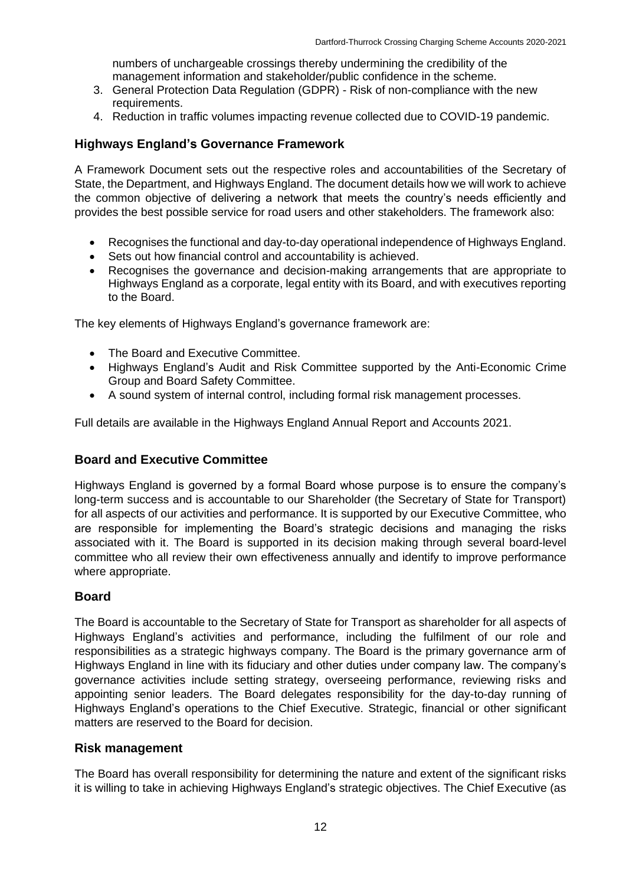numbers of unchargeable crossings thereby undermining the credibility of the management information and stakeholder/public confidence in the scheme.

- 3. General Protection Data Regulation (GDPR) Risk of non-compliance with the new requirements.
- 4. Reduction in traffic volumes impacting revenue collected due to COVID-19 pandemic.

### **Highways England's Governance Framework**

A Framework Document sets out the respective roles and accountabilities of the Secretary of State, the Department, and Highways England. The document details how we will work to achieve the common objective of delivering a network that meets the country's needs efficiently and provides the best possible service for road users and other stakeholders. The framework also:

- Recognises the functional and day-to-day operational independence of Highways England.
- Sets out how financial control and accountability is achieved.
- Recognises the governance and decision-making arrangements that are appropriate to Highways England as a corporate, legal entity with its Board, and with executives reporting to the Board.

The key elements of Highways England's governance framework are:

- The Board and Executive Committee.
- Highways England's Audit and Risk Committee supported by the Anti-Economic Crime Group and Board Safety Committee.
- A sound system of internal control, including formal risk management processes.

Full details are available in the Highways England Annual Report and Accounts 2021.

### **Board and Executive Committee**

Highways England is governed by a formal Board whose purpose is to ensure the company's long-term success and is accountable to our Shareholder (the Secretary of State for Transport) for all aspects of our activities and performance. It is supported by our Executive Committee, who are responsible for implementing the Board's strategic decisions and managing the risks associated with it. The Board is supported in its decision making through several board-level committee who all review their own effectiveness annually and identify to improve performance where appropriate.

### **Board**

The Board is accountable to the Secretary of State for Transport as shareholder for all aspects of Highways England's activities and performance, including the fulfilment of our role and responsibilities as a strategic highways company. The Board is the primary governance arm of Highways England in line with its fiduciary and other duties under company law. The company's governance activities include setting strategy, overseeing performance, reviewing risks and appointing senior leaders. The Board delegates responsibility for the day-to-day running of Highways England's operations to the Chief Executive. Strategic, financial or other significant matters are reserved to the Board for decision.

#### **Risk management**

The Board has overall responsibility for determining the nature and extent of the significant risks it is willing to take in achieving Highways England's strategic objectives. The Chief Executive (as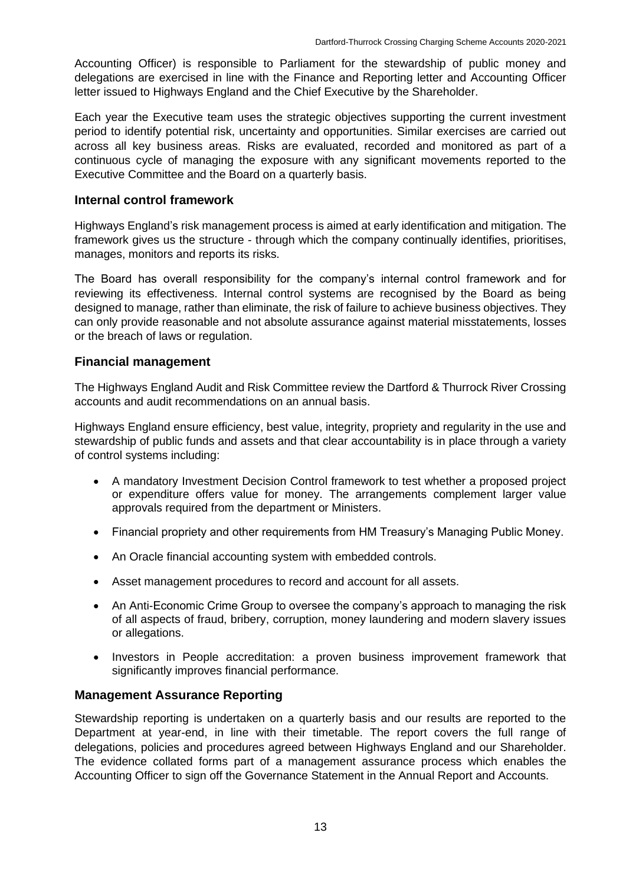Accounting Officer) is responsible to Parliament for the stewardship of public money and delegations are exercised in line with the Finance and Reporting letter and Accounting Officer letter issued to Highways England and the Chief Executive by the Shareholder.

Each year the Executive team uses the strategic objectives supporting the current investment period to identify potential risk, uncertainty and opportunities. Similar exercises are carried out across all key business areas. Risks are evaluated, recorded and monitored as part of a continuous cycle of managing the exposure with any significant movements reported to the Executive Committee and the Board on a quarterly basis.

### **Internal control framework**

Highways England's risk management process is aimed at early identification and mitigation. The framework gives us the structure - through which the company continually identifies, prioritises, manages, monitors and reports its risks.

The Board has overall responsibility for the company's internal control framework and for reviewing its effectiveness. Internal control systems are recognised by the Board as being designed to manage, rather than eliminate, the risk of failure to achieve business objectives. They can only provide reasonable and not absolute assurance against material misstatements, losses or the breach of laws or regulation.

### **Financial management**

The Highways England Audit and Risk Committee review the Dartford & Thurrock River Crossing accounts and audit recommendations on an annual basis.

Highways England ensure efficiency, best value, integrity, propriety and regularity in the use and stewardship of public funds and assets and that clear accountability is in place through a variety of control systems including:

- A mandatory Investment Decision Control framework to test whether a proposed project or expenditure offers value for money. The arrangements complement larger value approvals required from the department or Ministers.
- Financial propriety and other requirements from HM Treasury's Managing Public Money.
- An Oracle financial accounting system with embedded controls.
- Asset management procedures to record and account for all assets.
- An Anti-Economic Crime Group to oversee the company's approach to managing the risk of all aspects of fraud, bribery, corruption, money laundering and modern slavery issues or allegations.
- Investors in People accreditation: a proven business improvement framework that significantly improves financial performance.

### **Management Assurance Reporting**

Stewardship reporting is undertaken on a quarterly basis and our results are reported to the Department at year-end, in line with their timetable. The report covers the full range of delegations, policies and procedures agreed between Highways England and our Shareholder. The evidence collated forms part of a management assurance process which enables the Accounting Officer to sign off the Governance Statement in the Annual Report and Accounts.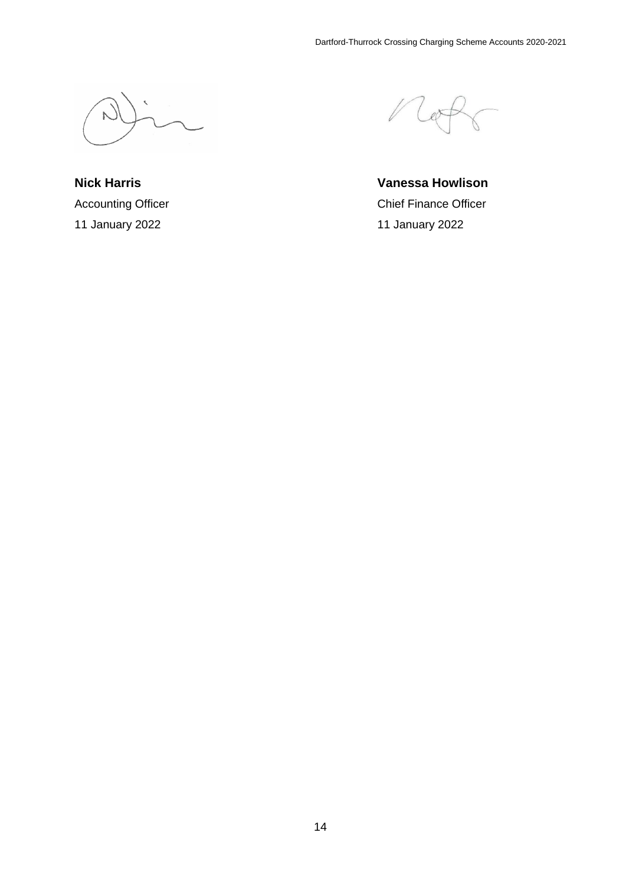**Nick Harris**  Accounting Officer 11 January 2022

**Vanessa Howlison**  Chief Finance Officer 11 January 2022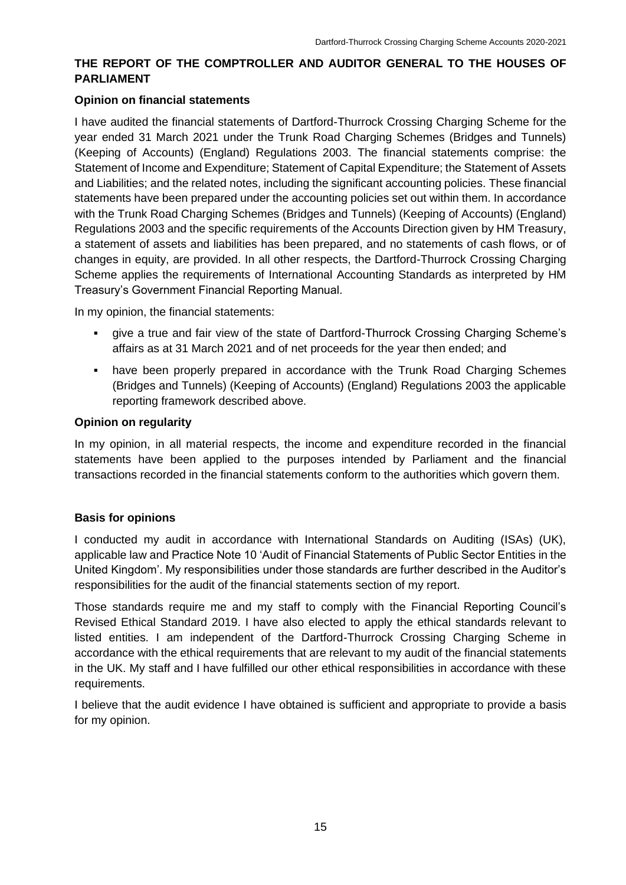### **THE REPORT OF THE COMPTROLLER AND AUDITOR GENERAL TO THE HOUSES OF PARLIAMENT**

### **Opinion on financial statements**

I have audited the financial statements of Dartford-Thurrock Crossing Charging Scheme for the year ended 31 March 2021 under the Trunk Road Charging Schemes (Bridges and Tunnels) (Keeping of Accounts) (England) Regulations 2003. The financial statements comprise: the Statement of Income and Expenditure; Statement of Capital Expenditure; the Statement of Assets and Liabilities; and the related notes, including the significant accounting policies. These financial statements have been prepared under the accounting policies set out within them. In accordance with the Trunk Road Charging Schemes (Bridges and Tunnels) (Keeping of Accounts) (England) Regulations 2003 and the specific requirements of the Accounts Direction given by HM Treasury, a statement of assets and liabilities has been prepared, and no statements of cash flows, or of changes in equity, are provided. In all other respects, the Dartford-Thurrock Crossing Charging Scheme applies the requirements of International Accounting Standards as interpreted by HM Treasury's Government Financial Reporting Manual.

In my opinion, the financial statements:

- give a true and fair view of the state of Dartford-Thurrock Crossing Charging Scheme's affairs as at 31 March 2021 and of net proceeds for the year then ended; and
- **have been properly prepared in accordance with the Trunk Road Charging Schemes** (Bridges and Tunnels) (Keeping of Accounts) (England) Regulations 2003 the applicable reporting framework described above.

### **Opinion on regularity**

In my opinion, in all material respects, the income and expenditure recorded in the financial statements have been applied to the purposes intended by Parliament and the financial transactions recorded in the financial statements conform to the authorities which govern them.

### **Basis for opinions**

I conducted my audit in accordance with International Standards on Auditing (ISAs) (UK), applicable law and Practice Note 10 'Audit of Financial Statements of Public Sector Entities in the United Kingdom'. My responsibilities under those standards are further described in the Auditor's responsibilities for the audit of the financial statements section of my report.

Those standards require me and my staff to comply with the Financial Reporting Council's Revised Ethical Standard 2019. I have also elected to apply the ethical standards relevant to listed entities. I am independent of the Dartford-Thurrock Crossing Charging Scheme in accordance with the ethical requirements that are relevant to my audit of the financial statements in the UK. My staff and I have fulfilled our other ethical responsibilities in accordance with these requirements.

I believe that the audit evidence I have obtained is sufficient and appropriate to provide a basis for my opinion.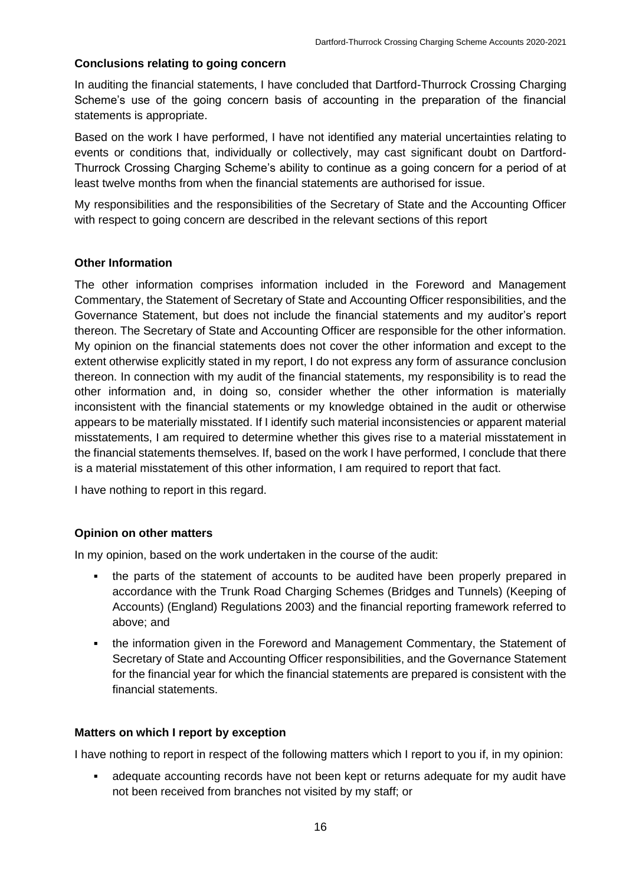### **Conclusions relating to going concern**

In auditing the financial statements, I have concluded that Dartford-Thurrock Crossing Charging Scheme's use of the going concern basis of accounting in the preparation of the financial statements is appropriate.

Based on the work I have performed, I have not identified any material uncertainties relating to events or conditions that, individually or collectively, may cast significant doubt on Dartford-Thurrock Crossing Charging Scheme's ability to continue as a going concern for a period of at least twelve months from when the financial statements are authorised for issue.

My responsibilities and the responsibilities of the Secretary of State and the Accounting Officer with respect to going concern are described in the relevant sections of this report

### **Other Information**

The other information comprises information included in the Foreword and Management Commentary, the Statement of Secretary of State and Accounting Officer responsibilities, and the Governance Statement, but does not include the financial statements and my auditor's report thereon. The Secretary of State and Accounting Officer are responsible for the other information. My opinion on the financial statements does not cover the other information and except to the extent otherwise explicitly stated in my report, I do not express any form of assurance conclusion thereon. In connection with my audit of the financial statements, my responsibility is to read the other information and, in doing so, consider whether the other information is materially inconsistent with the financial statements or my knowledge obtained in the audit or otherwise appears to be materially misstated. If I identify such material inconsistencies or apparent material misstatements, I am required to determine whether this gives rise to a material misstatement in the financial statements themselves. If, based on the work I have performed, I conclude that there is a material misstatement of this other information, I am required to report that fact.

I have nothing to report in this regard.

#### **Opinion on other matters**

In my opinion, based on the work undertaken in the course of the audit:

- the parts of the statement of accounts to be audited have been properly prepared in accordance with the Trunk Road Charging Schemes (Bridges and Tunnels) (Keeping of Accounts) (England) Regulations 2003) and the financial reporting framework referred to above; and
- the information given in the Foreword and Management Commentary, the Statement of Secretary of State and Accounting Officer responsibilities, and the Governance Statement for the financial year for which the financial statements are prepared is consistent with the financial statements.

#### **Matters on which I report by exception**

I have nothing to report in respect of the following matters which I report to you if, in my opinion:

▪ adequate accounting records have not been kept or returns adequate for my audit have not been received from branches not visited by my staff; or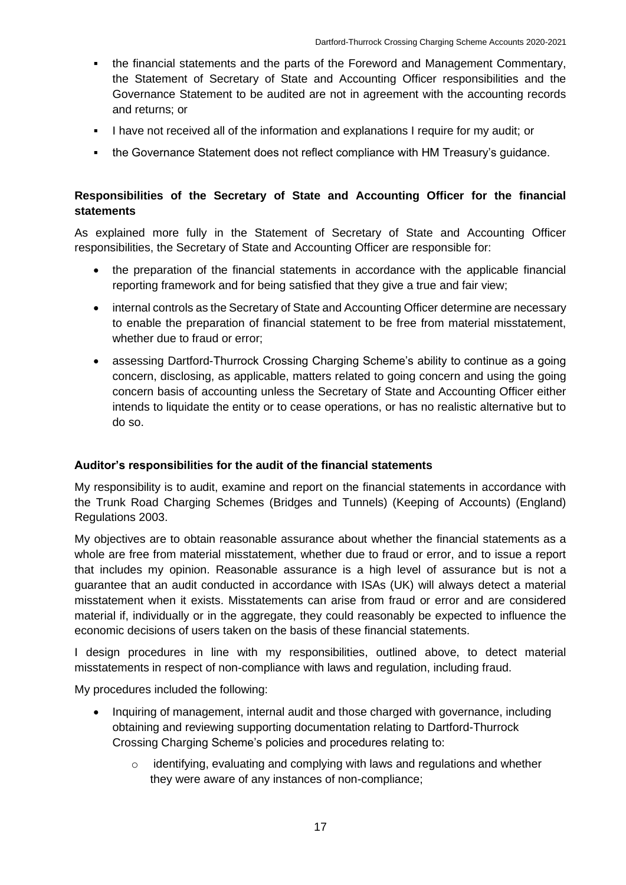- the financial statements and the parts of the Foreword and Management Commentary, the Statement of Secretary of State and Accounting Officer responsibilities and the Governance Statement to be audited are not in agreement with the accounting records and returns; or
- **.** I have not received all of the information and explanations I require for my audit; or
- the Governance Statement does not reflect compliance with HM Treasury's guidance.

### **Responsibilities of the Secretary of State and Accounting Officer for the financial statements**

As explained more fully in the Statement of Secretary of State and Accounting Officer responsibilities, the Secretary of State and Accounting Officer are responsible for:

- the preparation of the financial statements in accordance with the applicable financial reporting framework and for being satisfied that they give a true and fair view;
- internal controls as the Secretary of State and Accounting Officer determine are necessary to enable the preparation of financial statement to be free from material misstatement, whether due to fraud or error;
- assessing Dartford-Thurrock Crossing Charging Scheme's ability to continue as a going concern, disclosing, as applicable, matters related to going concern and using the going concern basis of accounting unless the Secretary of State and Accounting Officer either intends to liquidate the entity or to cease operations, or has no realistic alternative but to do so.

### **Auditor's responsibilities for the audit of the financial statements**

My responsibility is to audit, examine and report on the financial statements in accordance with the Trunk Road Charging Schemes (Bridges and Tunnels) (Keeping of Accounts) (England) Regulations 2003.

My objectives are to obtain reasonable assurance about whether the financial statements as a whole are free from material misstatement, whether due to fraud or error, and to issue a report that includes my opinion. Reasonable assurance is a high level of assurance but is not a guarantee that an audit conducted in accordance with ISAs (UK) will always detect a material misstatement when it exists. Misstatements can arise from fraud or error and are considered material if, individually or in the aggregate, they could reasonably be expected to influence the economic decisions of users taken on the basis of these financial statements.

I design procedures in line with my responsibilities, outlined above, to detect material misstatements in respect of non-compliance with laws and regulation, including fraud.

My procedures included the following:

- Inquiring of management, internal audit and those charged with governance, including obtaining and reviewing supporting documentation relating to Dartford-Thurrock Crossing Charging Scheme's policies and procedures relating to:
	- o identifying, evaluating and complying with laws and regulations and whether they were aware of any instances of non-compliance;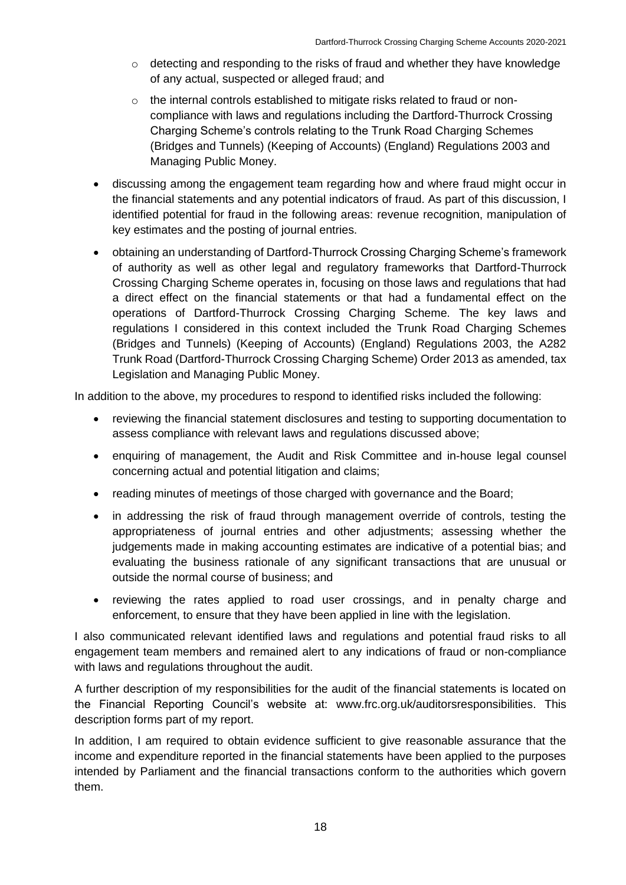- o detecting and responding to the risks of fraud and whether they have knowledge of any actual, suspected or alleged fraud; and
- o the internal controls established to mitigate risks related to fraud or noncompliance with laws and regulations including the Dartford-Thurrock Crossing Charging Scheme's controls relating to the Trunk Road Charging Schemes (Bridges and Tunnels) (Keeping of Accounts) (England) Regulations 2003 and Managing Public Money.
- discussing among the engagement team regarding how and where fraud might occur in the financial statements and any potential indicators of fraud. As part of this discussion, I identified potential for fraud in the following areas: revenue recognition, manipulation of key estimates and the posting of journal entries.
- obtaining an understanding of Dartford-Thurrock Crossing Charging Scheme's framework of authority as well as other legal and regulatory frameworks that Dartford-Thurrock Crossing Charging Scheme operates in, focusing on those laws and regulations that had a direct effect on the financial statements or that had a fundamental effect on the operations of Dartford-Thurrock Crossing Charging Scheme. The key laws and regulations I considered in this context included the Trunk Road Charging Schemes (Bridges and Tunnels) (Keeping of Accounts) (England) Regulations 2003, the A282 Trunk Road (Dartford-Thurrock Crossing Charging Scheme) Order 2013 as amended, tax Legislation and Managing Public Money.

In addition to the above, my procedures to respond to identified risks included the following:

- reviewing the financial statement disclosures and testing to supporting documentation to assess compliance with relevant laws and regulations discussed above;
- enquiring of management, the Audit and Risk Committee and in-house legal counsel concerning actual and potential litigation and claims;
- reading minutes of meetings of those charged with governance and the Board;
- in addressing the risk of fraud through management override of controls, testing the appropriateness of journal entries and other adjustments; assessing whether the judgements made in making accounting estimates are indicative of a potential bias; and evaluating the business rationale of any significant transactions that are unusual or outside the normal course of business; and
- reviewing the rates applied to road user crossings, and in penalty charge and enforcement, to ensure that they have been applied in line with the legislation.

I also communicated relevant identified laws and regulations and potential fraud risks to all engagement team members and remained alert to any indications of fraud or non-compliance with laws and regulations throughout the audit.

A further description of my responsibilities for the audit of the financial statements is located on the Financial Reporting Council's website at: www.frc.org.uk/auditorsresponsibilities. This description forms part of my report.

In addition, I am required to obtain evidence sufficient to give reasonable assurance that the income and expenditure reported in the financial statements have been applied to the purposes intended by Parliament and the financial transactions conform to the authorities which govern them.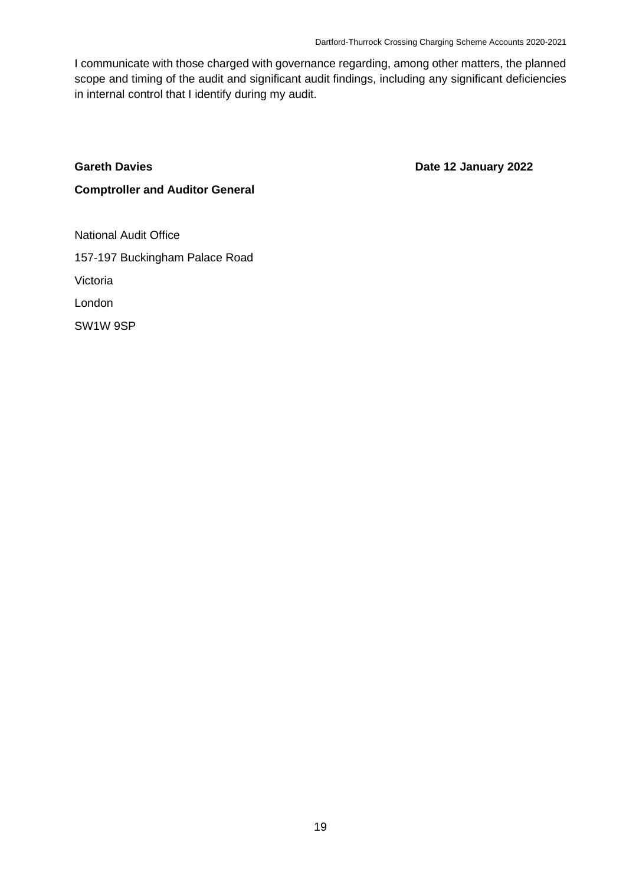I communicate with those charged with governance regarding, among other matters, the planned scope and timing of the audit and significant audit findings, including any significant deficiencies in internal control that I identify during my audit.

#### **Gareth Davies**

**Date 12 January 2022** 

### **Comptroller and Auditor General**

National Audit Office 157-197 Buckingham Palace Road Victoria London SW1W 9SP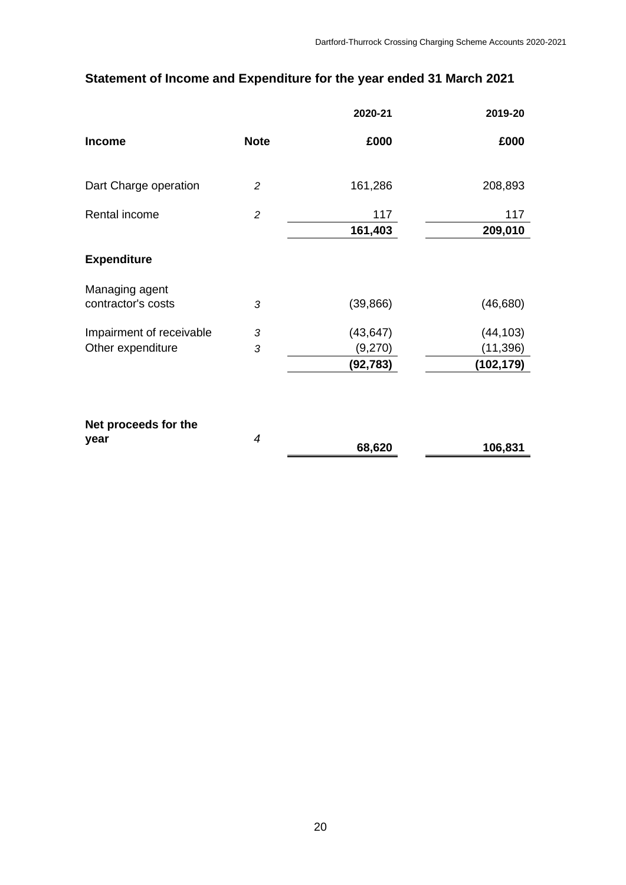# **Statement of Income and Expenditure for the year ended 31 March 2021**

|                                      |                | 2020-21              | 2019-20                |
|--------------------------------------|----------------|----------------------|------------------------|
| <b>Income</b>                        | <b>Note</b>    | £000                 | £000                   |
| Dart Charge operation                | 2              | 161,286              | 208,893                |
| Rental income                        | $\overline{c}$ | 117                  | 117                    |
|                                      |                | 161,403              | 209,010                |
| <b>Expenditure</b>                   |                |                      |                        |
| Managing agent<br>contractor's costs | 3              | (39, 866)            | (46, 680)              |
| Impairment of receivable             | 3              | (43, 647)            | (44, 103)              |
| Other expenditure                    | 3              | (9,270)<br>(92, 783) | (11,396)<br>(102, 179) |
| Net proceeds for the                 |                |                      |                        |
| year                                 | $\overline{4}$ | 68,620               | 106,831                |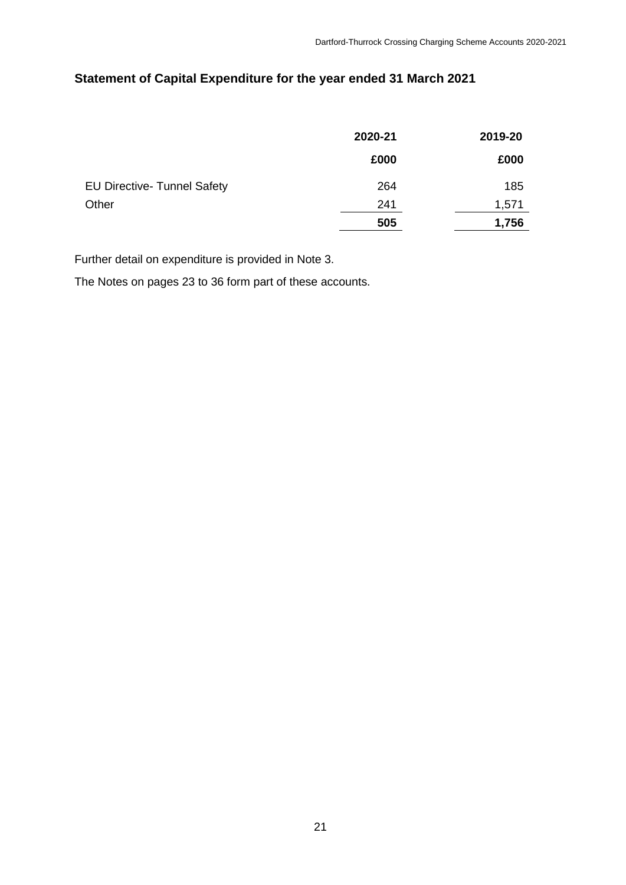# **Statement of Capital Expenditure for the year ended 31 March 2021**

|                                    | 2020-21 | 2019-20 |
|------------------------------------|---------|---------|
|                                    | £000    | £000    |
| <b>EU Directive- Tunnel Safety</b> | 264     | 185     |
| Other                              | 241     | 1,571   |
|                                    | 505     | 1,756   |

Further detail on expenditure is provided in Note 3.

The Notes on pages 23 to 36 form part of these accounts.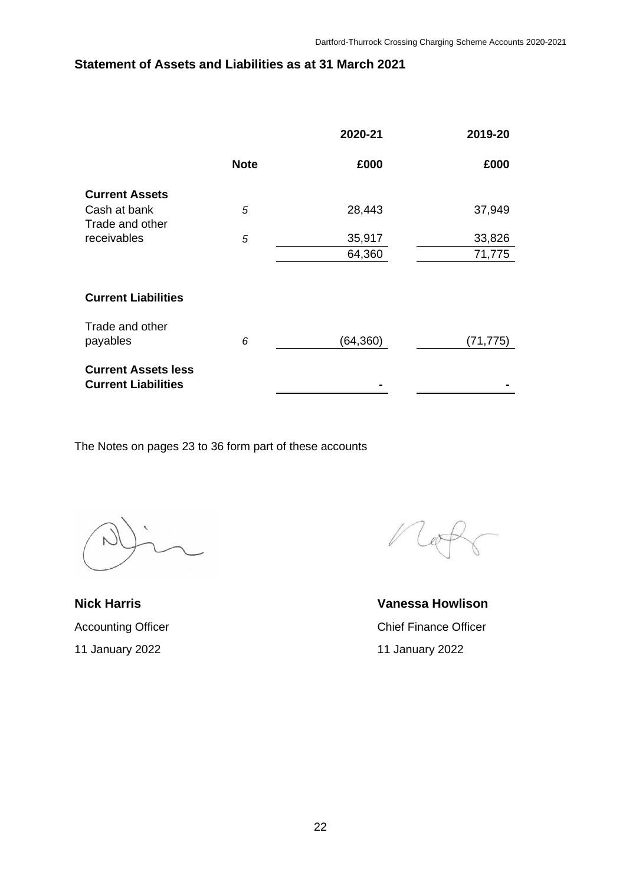# **Statement of Assets and Liabilities as at 31 March 2021**

|                                                          |             | 2020-21   | 2019-20   |
|----------------------------------------------------------|-------------|-----------|-----------|
|                                                          | <b>Note</b> | £000      | £000      |
| <b>Current Assets</b>                                    |             |           |           |
| Cash at bank<br>Trade and other                          | 5           | 28,443    | 37,949    |
| receivables                                              | 5           | 35,917    | 33,826    |
|                                                          |             | 64,360    | 71,775    |
|                                                          |             |           |           |
| <b>Current Liabilities</b>                               |             |           |           |
| Trade and other<br>payables                              | 6           | (64, 360) | (71, 775) |
| <b>Current Assets less</b><br><b>Current Liabilities</b> |             |           |           |

The Notes on pages 23 to 36 form part of these accounts

**Nick Harris**  Accounting Officer 11 January 2022

 $e^{\pi}$ 

**Vanessa Howlison**  Chief Finance Officer 11 January 2022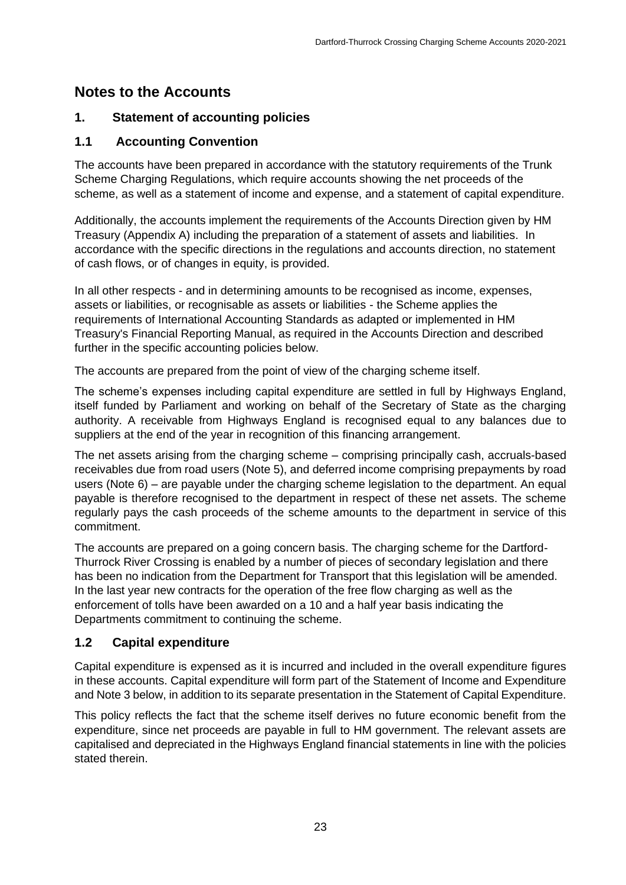# **Notes to the Accounts**

# **1. Statement of accounting policies**

# **1.1 Accounting Convention**

The accounts have been prepared in accordance with the statutory requirements of the Trunk Scheme Charging Regulations, which require accounts showing the net proceeds of the scheme, as well as a statement of income and expense, and a statement of capital expenditure.

Additionally, the accounts implement the requirements of the Accounts Direction given by HM Treasury (Appendix A) including the preparation of a statement of assets and liabilities. In accordance with the specific directions in the regulations and accounts direction, no statement of cash flows, or of changes in equity, is provided.

In all other respects - and in determining amounts to be recognised as income, expenses, assets or liabilities, or recognisable as assets or liabilities - the Scheme applies the requirements of International Accounting Standards as adapted or implemented in HM Treasury's Financial Reporting Manual, as required in the Accounts Direction and described further in the specific accounting policies below.

The accounts are prepared from the point of view of the charging scheme itself.

The scheme's expenses including capital expenditure are settled in full by Highways England, itself funded by Parliament and working on behalf of the Secretary of State as the charging authority. A receivable from Highways England is recognised equal to any balances due to suppliers at the end of the year in recognition of this financing arrangement.

The net assets arising from the charging scheme – comprising principally cash, accruals-based receivables due from road users (Note 5), and deferred income comprising prepayments by road users (Note 6) – are payable under the charging scheme legislation to the department. An equal payable is therefore recognised to the department in respect of these net assets. The scheme regularly pays the cash proceeds of the scheme amounts to the department in service of this commitment.

The accounts are prepared on a going concern basis. The charging scheme for the Dartford-Thurrock River Crossing is enabled by a number of pieces of secondary legislation and there has been no indication from the Department for Transport that this legislation will be amended. In the last year new contracts for the operation of the free flow charging as well as the enforcement of tolls have been awarded on a 10 and a half year basis indicating the Departments commitment to continuing the scheme.

# **1.2 Capital expenditure**

Capital expenditure is expensed as it is incurred and included in the overall expenditure figures in these accounts. Capital expenditure will form part of the Statement of Income and Expenditure and Note 3 below, in addition to its separate presentation in the Statement of Capital Expenditure.

This policy reflects the fact that the scheme itself derives no future economic benefit from the expenditure, since net proceeds are payable in full to HM government. The relevant assets are capitalised and depreciated in the Highways England financial statements in line with the policies stated therein.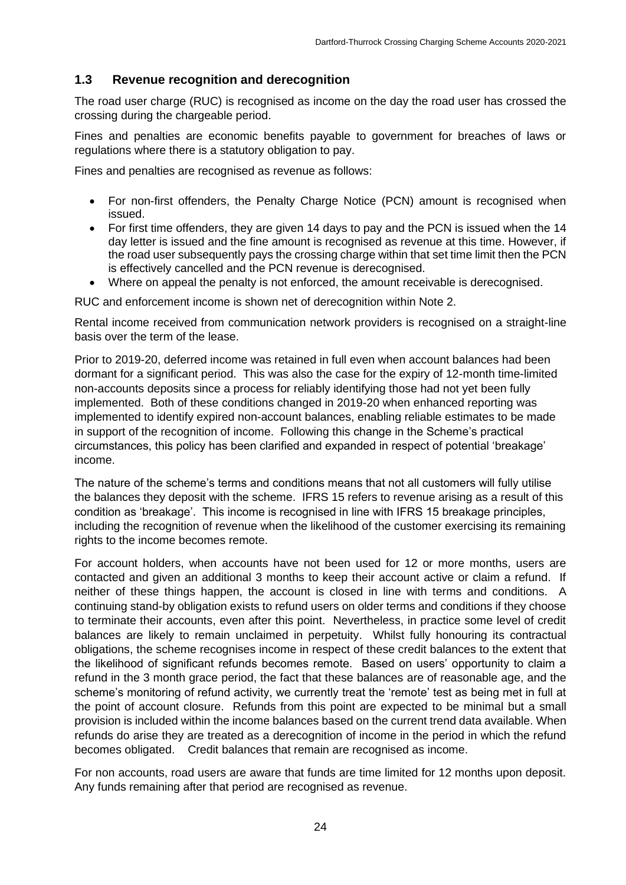### **1.3 Revenue recognition and derecognition**

The road user charge (RUC) is recognised as income on the day the road user has crossed the crossing during the chargeable period.

Fines and penalties are economic benefits payable to government for breaches of laws or regulations where there is a statutory obligation to pay.

Fines and penalties are recognised as revenue as follows:

- For non-first offenders, the Penalty Charge Notice (PCN) amount is recognised when issued.
- For first time offenders, they are given 14 days to pay and the PCN is issued when the 14 day letter is issued and the fine amount is recognised as revenue at this time. However, if the road user subsequently pays the crossing charge within that set time limit then the PCN is effectively cancelled and the PCN revenue is derecognised.
- Where on appeal the penalty is not enforced, the amount receivable is derecognised.

RUC and enforcement income is shown net of derecognition within Note 2.

Rental income received from communication network providers is recognised on a straight-line basis over the term of the lease.

Prior to 2019-20, deferred income was retained in full even when account balances had been dormant for a significant period. This was also the case for the expiry of 12-month time-limited non-accounts deposits since a process for reliably identifying those had not yet been fully implemented. Both of these conditions changed in 2019-20 when enhanced reporting was implemented to identify expired non-account balances, enabling reliable estimates to be made in support of the recognition of income. Following this change in the Scheme's practical circumstances, this policy has been clarified and expanded in respect of potential 'breakage' income.

The nature of the scheme's terms and conditions means that not all customers will fully utilise the balances they deposit with the scheme. IFRS 15 refers to revenue arising as a result of this condition as 'breakage'. This income is recognised in line with IFRS 15 breakage principles, including the recognition of revenue when the likelihood of the customer exercising its remaining rights to the income becomes remote.

For account holders, when accounts have not been used for 12 or more months, users are contacted and given an additional 3 months to keep their account active or claim a refund. If neither of these things happen, the account is closed in line with terms and conditions. A continuing stand-by obligation exists to refund users on older terms and conditions if they choose to terminate their accounts, even after this point. Nevertheless, in practice some level of credit balances are likely to remain unclaimed in perpetuity. Whilst fully honouring its contractual obligations, the scheme recognises income in respect of these credit balances to the extent that the likelihood of significant refunds becomes remote. Based on users' opportunity to claim a refund in the 3 month grace period, the fact that these balances are of reasonable age, and the scheme's monitoring of refund activity, we currently treat the 'remote' test as being met in full at the point of account closure. Refunds from this point are expected to be minimal but a small provision is included within the income balances based on the current trend data available. When refunds do arise they are treated as a derecognition of income in the period in which the refund becomes obligated. Credit balances that remain are recognised as income.

For non accounts, road users are aware that funds are time limited for 12 months upon deposit. Any funds remaining after that period are recognised as revenue.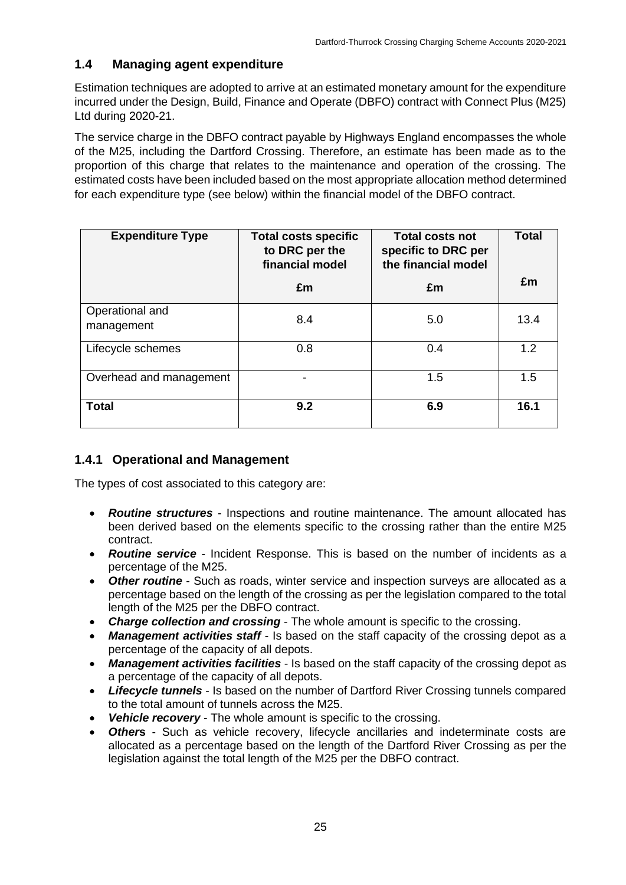## **1.4 Managing agent expenditure**

Estimation techniques are adopted to arrive at an estimated monetary amount for the expenditure incurred under the Design, Build, Finance and Operate (DBFO) contract with Connect Plus (M25) Ltd during 2020-21.

The service charge in the DBFO contract payable by Highways England encompasses the whole of the M25, including the Dartford Crossing. Therefore, an estimate has been made as to the proportion of this charge that relates to the maintenance and operation of the crossing. The estimated costs have been included based on the most appropriate allocation method determined for each expenditure type (see below) within the financial model of the DBFO contract.

| <b>Expenditure Type</b>       | <b>Total costs specific</b><br>to DRC per the<br>financial model | <b>Total costs not</b><br>specific to DRC per<br>the financial model | <b>Total</b> |
|-------------------------------|------------------------------------------------------------------|----------------------------------------------------------------------|--------------|
|                               | £m                                                               | £m                                                                   | £m           |
| Operational and<br>management | 8.4                                                              | 5.0                                                                  | 13.4         |
| Lifecycle schemes             | 0.8                                                              | 0.4                                                                  | 1.2          |
| Overhead and management       |                                                                  | 1.5                                                                  | 1.5          |
| <b>Total</b>                  | 9.2                                                              | 6.9                                                                  | 16.1         |

## **1.4.1 Operational and Management**

The types of cost associated to this category are:

- *Routine structures* Inspections and routine maintenance. The amount allocated has been derived based on the elements specific to the crossing rather than the entire M25 contract.
- **Routine service** Incident Response. This is based on the number of incidents as a percentage of the M25.
- **Other routine** Such as roads, winter service and inspection surveys are allocated as a percentage based on the length of the crossing as per the legislation compared to the total length of the M25 per the DBFO contract.
- **Charge collection and crossing** The whole amount is specific to the crossing.
- **Management activities staff** Is based on the staff capacity of the crossing depot as a percentage of the capacity of all depots.
- *Management activities facilities* Is based on the staff capacity of the crossing depot as a percentage of the capacity of all depots.
- *Lifecycle tunnels* Is based on the number of Dartford River Crossing tunnels compared to the total amount of tunnels across the M25.
- **Vehicle recovery** The whole amount is specific to the crossing.
- *Other***s** Such as vehicle recovery, lifecycle ancillaries and indeterminate costs are allocated as a percentage based on the length of the Dartford River Crossing as per the legislation against the total length of the M25 per the DBFO contract.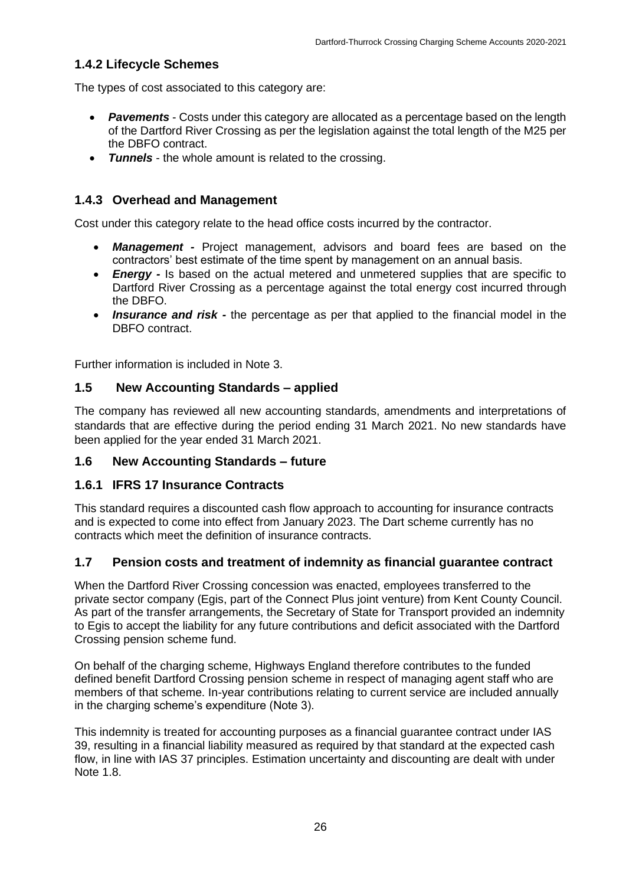### **1.4.2 Lifecycle Schemes**

The types of cost associated to this category are:

- **Pavements** Costs under this category are allocated as a percentage based on the length of the Dartford River Crossing as per the legislation against the total length of the M25 per the DBFO contract.
- *Tunnels*  the whole amount is related to the crossing.

### **1.4.3 Overhead and Management**

Cost under this category relate to the head office costs incurred by the contractor.

- *Management -* Project management, advisors and board fees are based on the contractors' best estimate of the time spent by management on an annual basis.
- *Energy -* Is based on the actual metered and unmetered supplies that are specific to Dartford River Crossing as a percentage against the total energy cost incurred through the DBFO.
- *Insurance and risk -* the percentage as per that applied to the financial model in the DBFO contract.

Further information is included in Note 3.

### **1.5 New Accounting Standards – applied**

The company has reviewed all new accounting standards, amendments and interpretations of standards that are effective during the period ending 31 March 2021. No new standards have been applied for the year ended 31 March 2021.

### **1.6 New Accounting Standards – future**

### **1.6.1 IFRS 17 Insurance Contracts**

This standard requires a discounted cash flow approach to accounting for insurance contracts and is expected to come into effect from January 2023. The Dart scheme currently has no contracts which meet the definition of insurance contracts.

### **1.7 Pension costs and treatment of indemnity as financial guarantee contract**

When the Dartford River Crossing concession was enacted, employees transferred to the private sector company (Egis, part of the Connect Plus joint venture) from Kent County Council. As part of the transfer arrangements, the Secretary of State for Transport provided an indemnity to Egis to accept the liability for any future contributions and deficit associated with the Dartford Crossing pension scheme fund.

On behalf of the charging scheme, Highways England therefore contributes to the funded defined benefit Dartford Crossing pension scheme in respect of managing agent staff who are members of that scheme. In-year contributions relating to current service are included annually in the charging scheme's expenditure (Note 3).

This indemnity is treated for accounting purposes as a financial guarantee contract under IAS 39, resulting in a financial liability measured as required by that standard at the expected cash flow, in line with IAS 37 principles. Estimation uncertainty and discounting are dealt with under Note 1.8.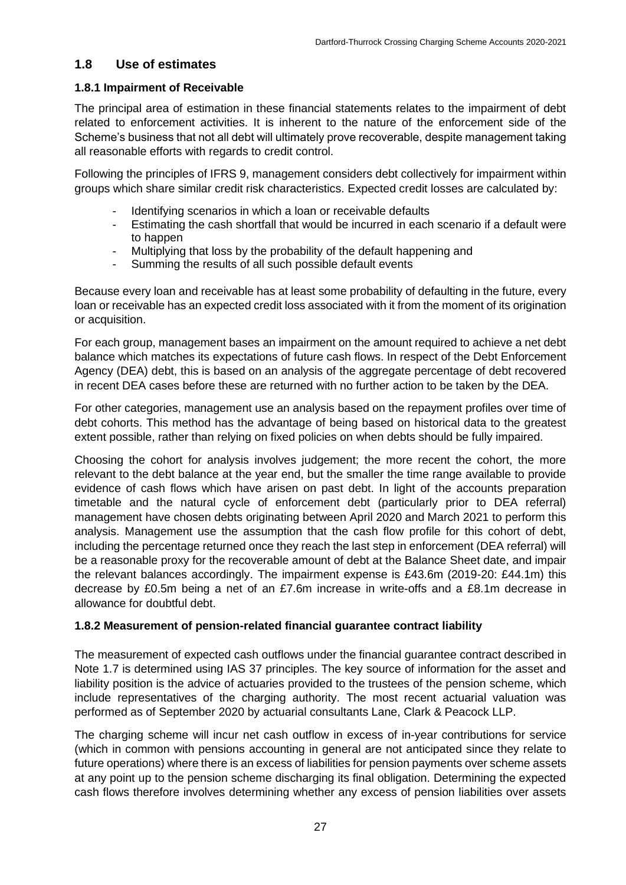### **1.8 Use of estimates**

### **1.8.1 Impairment of Receivable**

The principal area of estimation in these financial statements relates to the impairment of debt related to enforcement activities. It is inherent to the nature of the enforcement side of the Scheme's business that not all debt will ultimately prove recoverable, despite management taking all reasonable efforts with regards to credit control.

Following the principles of IFRS 9, management considers debt collectively for impairment within groups which share similar credit risk characteristics. Expected credit losses are calculated by:

- Identifying scenarios in which a loan or receivable defaults
- Estimating the cash shortfall that would be incurred in each scenario if a default were to happen
- Multiplying that loss by the probability of the default happening and
- Summing the results of all such possible default events

Because every loan and receivable has at least some probability of defaulting in the future, every loan or receivable has an expected credit loss associated with it from the moment of its origination or acquisition.

For each group, management bases an impairment on the amount required to achieve a net debt balance which matches its expectations of future cash flows. In respect of the Debt Enforcement Agency (DEA) debt, this is based on an analysis of the aggregate percentage of debt recovered in recent DEA cases before these are returned with no further action to be taken by the DEA.

For other categories, management use an analysis based on the repayment profiles over time of debt cohorts. This method has the advantage of being based on historical data to the greatest extent possible, rather than relying on fixed policies on when debts should be fully impaired.

Choosing the cohort for analysis involves judgement; the more recent the cohort, the more relevant to the debt balance at the year end, but the smaller the time range available to provide evidence of cash flows which have arisen on past debt. In light of the accounts preparation timetable and the natural cycle of enforcement debt (particularly prior to DEA referral) management have chosen debts originating between April 2020 and March 2021 to perform this analysis. Management use the assumption that the cash flow profile for this cohort of debt, including the percentage returned once they reach the last step in enforcement (DEA referral) will be a reasonable proxy for the recoverable amount of debt at the Balance Sheet date, and impair the relevant balances accordingly. The impairment expense is £43.6m (2019-20: £44.1m) this decrease by £0.5m being a net of an £7.6m increase in write-offs and a £8.1m decrease in allowance for doubtful debt.

### **1.8.2 Measurement of pension-related financial guarantee contract liability**

The measurement of expected cash outflows under the financial guarantee contract described in Note 1.7 is determined using IAS 37 principles. The key source of information for the asset and liability position is the advice of actuaries provided to the trustees of the pension scheme, which include representatives of the charging authority. The most recent actuarial valuation was performed as of September 2020 by actuarial consultants Lane, Clark & Peacock LLP.

The charging scheme will incur net cash outflow in excess of in-year contributions for service (which in common with pensions accounting in general are not anticipated since they relate to future operations) where there is an excess of liabilities for pension payments over scheme assets at any point up to the pension scheme discharging its final obligation. Determining the expected cash flows therefore involves determining whether any excess of pension liabilities over assets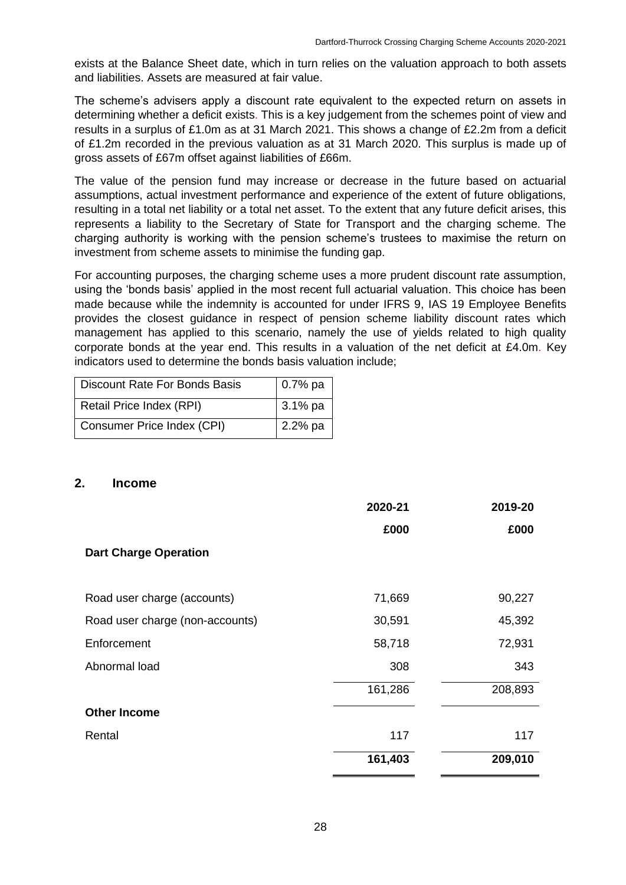exists at the Balance Sheet date, which in turn relies on the valuation approach to both assets and liabilities. Assets are measured at fair value.

The scheme's advisers apply a discount rate equivalent to the expected return on assets in determining whether a deficit exists. This is a key judgement from the schemes point of view and results in a surplus of £1.0m as at 31 March 2021. This shows a change of £2.2m from a deficit of £1.2m recorded in the previous valuation as at 31 March 2020. This surplus is made up of gross assets of £67m offset against liabilities of £66m.

The value of the pension fund may increase or decrease in the future based on actuarial assumptions, actual investment performance and experience of the extent of future obligations, resulting in a total net liability or a total net asset. To the extent that any future deficit arises, this represents a liability to the Secretary of State for Transport and the charging scheme. The charging authority is working with the pension scheme's trustees to maximise the return on investment from scheme assets to minimise the funding gap.

For accounting purposes, the charging scheme uses a more prudent discount rate assumption, using the 'bonds basis' applied in the most recent full actuarial valuation. This choice has been made because while the indemnity is accounted for under IFRS 9, IAS 19 Employee Benefits provides the closest guidance in respect of pension scheme liability discount rates which management has applied to this scenario, namely the use of yields related to high quality corporate bonds at the year end. This results in a valuation of the net deficit at £4.0m. Key indicators used to determine the bonds basis valuation include;

| <b>Discount Rate For Bonds Basis</b> | $0.7%$ pa |
|--------------------------------------|-----------|
| Retail Price Index (RPI)             | $3.1%$ pa |
| Consumer Price Index (CPI)           | 2.2% pa   |

#### **2. Income**

|                                 | 2020-21 | 2019-20 |
|---------------------------------|---------|---------|
|                                 | £000    | £000    |
| <b>Dart Charge Operation</b>    |         |         |
|                                 |         |         |
| Road user charge (accounts)     | 71,669  | 90,227  |
| Road user charge (non-accounts) | 30,591  | 45,392  |
| Enforcement                     | 58,718  | 72,931  |
| Abnormal load                   | 308     | 343     |
|                                 | 161,286 | 208,893 |
| <b>Other Income</b>             |         |         |
| Rental                          | 117     | 117     |
|                                 | 161,403 | 209,010 |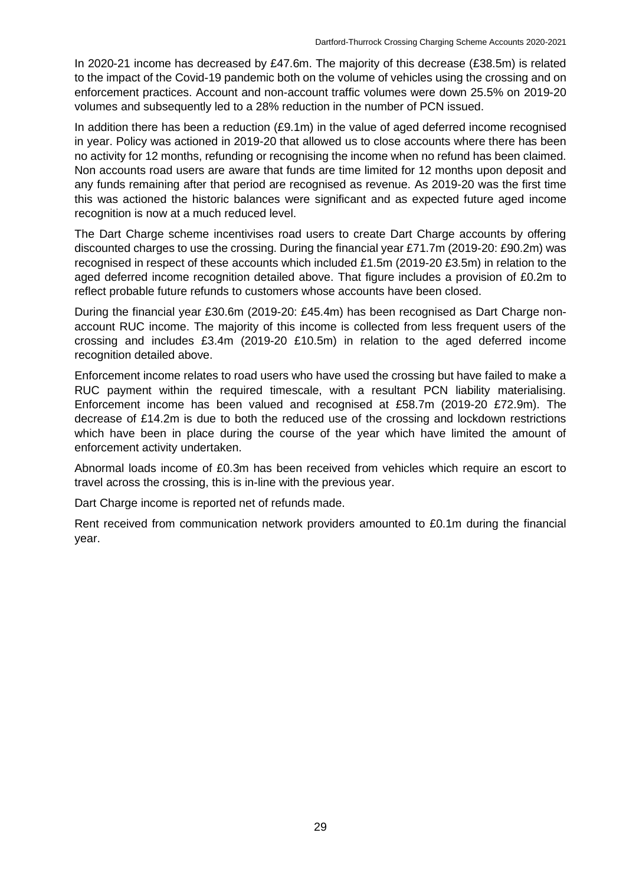In 2020-21 income has decreased by £47.6m. The majority of this decrease (£38.5m) is related to the impact of the Covid-19 pandemic both on the volume of vehicles using the crossing and on enforcement practices. Account and non-account traffic volumes were down 25.5% on 2019-20 volumes and subsequently led to a 28% reduction in the number of PCN issued.

In addition there has been a reduction (£9.1m) in the value of aged deferred income recognised in year. Policy was actioned in 2019-20 that allowed us to close accounts where there has been no activity for 12 months, refunding or recognising the income when no refund has been claimed. Non accounts road users are aware that funds are time limited for 12 months upon deposit and any funds remaining after that period are recognised as revenue. As 2019-20 was the first time this was actioned the historic balances were significant and as expected future aged income recognition is now at a much reduced level.

The Dart Charge scheme incentivises road users to create Dart Charge accounts by offering discounted charges to use the crossing. During the financial year £71.7m (2019-20: £90.2m) was recognised in respect of these accounts which included £1.5m (2019-20 £3.5m) in relation to the aged deferred income recognition detailed above. That figure includes a provision of £0.2m to reflect probable future refunds to customers whose accounts have been closed.

During the financial year £30.6m (2019-20: £45.4m) has been recognised as Dart Charge nonaccount RUC income. The majority of this income is collected from less frequent users of the crossing and includes £3.4m (2019-20 £10.5m) in relation to the aged deferred income recognition detailed above.

Enforcement income relates to road users who have used the crossing but have failed to make a RUC payment within the required timescale, with a resultant PCN liability materialising. Enforcement income has been valued and recognised at £58.7m (2019-20 £72.9m). The decrease of £14.2m is due to both the reduced use of the crossing and lockdown restrictions which have been in place during the course of the year which have limited the amount of enforcement activity undertaken.

Abnormal loads income of £0.3m has been received from vehicles which require an escort to travel across the crossing, this is in-line with the previous year.

Dart Charge income is reported net of refunds made.

Rent received from communication network providers amounted to £0.1m during the financial year.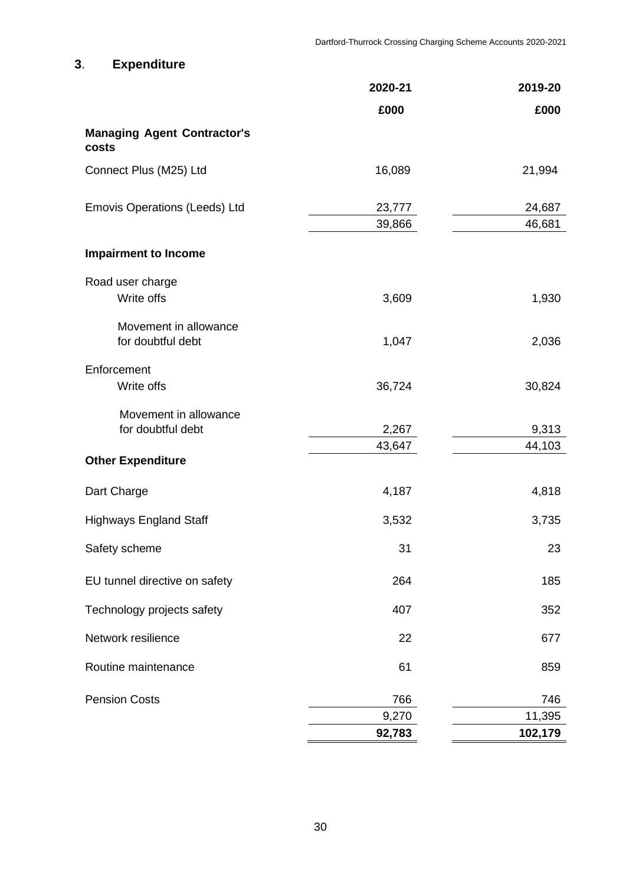# **3**. **Expenditure**

|                                             | 2020-21 | 2019-20 |
|---------------------------------------------|---------|---------|
|                                             | £000    | £000    |
| <b>Managing Agent Contractor's</b><br>costs |         |         |
| Connect Plus (M25) Ltd                      | 16,089  | 21,994  |
| <b>Emovis Operations (Leeds) Ltd</b>        | 23,777  | 24,687  |
|                                             | 39,866  | 46,681  |
| <b>Impairment to Income</b>                 |         |         |
| Road user charge                            |         |         |
| Write offs                                  | 3,609   | 1,930   |
| Movement in allowance                       |         |         |
| for doubtful debt                           | 1,047   | 2,036   |
| Enforcement                                 |         |         |
| Write offs                                  | 36,724  | 30,824  |
| Movement in allowance                       |         |         |
| for doubtful debt                           | 2,267   | 9,313   |
| <b>Other Expenditure</b>                    | 43,647  | 44,103  |
| Dart Charge                                 | 4,187   | 4,818   |
|                                             |         |         |
| <b>Highways England Staff</b>               | 3,532   | 3,735   |
| Safety scheme                               | 31      | 23      |
| EU tunnel directive on safety               | 264     | 185     |
| Technology projects safety                  | 407     | 352     |
| Network resilience                          | 22      | 677     |
| Routine maintenance                         | 61      | 859     |
| <b>Pension Costs</b>                        | 766     | 746     |
|                                             | 9,270   | 11,395  |
|                                             | 92,783  | 102,179 |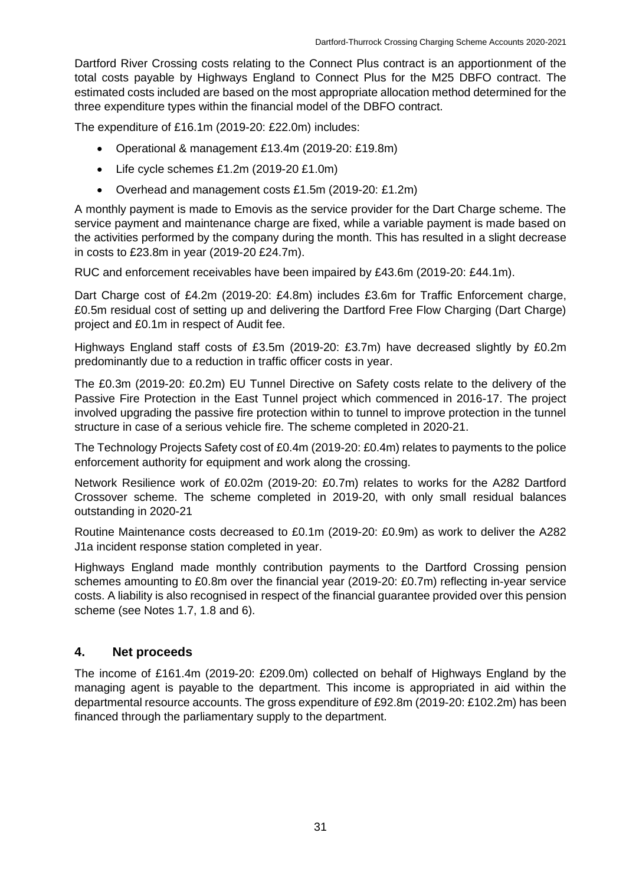Dartford River Crossing costs relating to the Connect Plus contract is an apportionment of the total costs payable by Highways England to Connect Plus for the M25 DBFO contract. The estimated costs included are based on the most appropriate allocation method determined for the three expenditure types within the financial model of the DBFO contract.

The expenditure of £16.1m (2019-20: £22.0m) includes:

- Operational & management £13.4m (2019-20: £19.8m)
- Life cycle schemes £1.2m (2019-20 £1.0m)
- Overhead and management costs £1.5m (2019-20: £1.2m)

A monthly payment is made to Emovis as the service provider for the Dart Charge scheme. The service payment and maintenance charge are fixed, while a variable payment is made based on the activities performed by the company during the month. This has resulted in a slight decrease in costs to £23.8m in year (2019-20 £24.7m).

RUC and enforcement receivables have been impaired by £43.6m (2019-20: £44.1m).

Dart Charge cost of £4.2m (2019-20: £4.8m) includes £3.6m for Traffic Enforcement charge, £0.5m residual cost of setting up and delivering the Dartford Free Flow Charging (Dart Charge) project and £0.1m in respect of Audit fee.

Highways England staff costs of £3.5m (2019-20: £3.7m) have decreased slightly by £0.2m predominantly due to a reduction in traffic officer costs in year.

The £0.3m (2019-20: £0.2m) EU Tunnel Directive on Safety costs relate to the delivery of the Passive Fire Protection in the East Tunnel project which commenced in 2016-17. The project involved upgrading the passive fire protection within to tunnel to improve protection in the tunnel structure in case of a serious vehicle fire. The scheme completed in 2020-21.

The Technology Projects Safety cost of £0.4m (2019-20: £0.4m) relates to payments to the police enforcement authority for equipment and work along the crossing.

Network Resilience work of £0.02m (2019-20: £0.7m) relates to works for the A282 Dartford Crossover scheme. The scheme completed in 2019-20, with only small residual balances outstanding in 2020-21

Routine Maintenance costs decreased to £0.1m (2019-20: £0.9m) as work to deliver the A282 J1a incident response station completed in year.

Highways England made monthly contribution payments to the Dartford Crossing pension schemes amounting to £0.8m over the financial year (2019-20: £0.7m) reflecting in-year service costs. A liability is also recognised in respect of the financial guarantee provided over this pension scheme (see Notes 1.7, 1.8 and 6).

### **4. Net proceeds**

The income of £161.4m (2019-20: £209.0m) collected on behalf of Highways England by the managing agent is payable to the department. This income is appropriated in aid within the departmental resource accounts. The gross expenditure of £92.8m (2019-20: £102.2m) has been financed through the parliamentary supply to the department.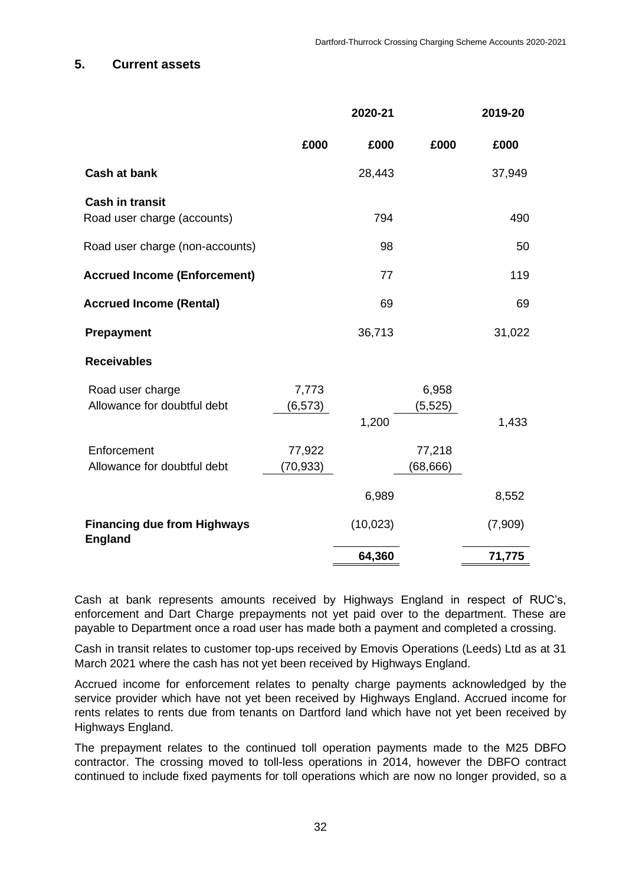### **5. Current assets**

|                                                       |                     | 2020-21   |                     | 2019-20 |
|-------------------------------------------------------|---------------------|-----------|---------------------|---------|
|                                                       | £000                | £000      | £000                | £000    |
| <b>Cash at bank</b>                                   |                     | 28,443    |                     | 37,949  |
| <b>Cash in transit</b><br>Road user charge (accounts) |                     | 794       |                     | 490     |
| Road user charge (non-accounts)                       |                     | 98        |                     | 50      |
| <b>Accrued Income (Enforcement)</b>                   |                     | 77        |                     | 119     |
| <b>Accrued Income (Rental)</b>                        |                     | 69        |                     | 69      |
| <b>Prepayment</b>                                     |                     | 36,713    |                     | 31,022  |
| <b>Receivables</b>                                    |                     |           |                     |         |
| Road user charge<br>Allowance for doubtful debt       | 7,773<br>(6, 573)   | 1,200     | 6,958<br>(5, 525)   | 1,433   |
| Enforcement<br>Allowance for doubtful debt            | 77,922<br>(70, 933) |           | 77,218<br>(68, 666) |         |
|                                                       |                     | 6,989     |                     | 8,552   |
| <b>Financing due from Highways</b><br><b>England</b>  |                     | (10, 023) |                     | (7,909) |
|                                                       |                     | 64,360    |                     | 71,775  |

Cash at bank represents amounts received by Highways England in respect of RUC's, enforcement and Dart Charge prepayments not yet paid over to the department. These are payable to Department once a road user has made both a payment and completed a crossing.

Cash in transit relates to customer top-ups received by Emovis Operations (Leeds) Ltd as at 31 March 2021 where the cash has not yet been received by Highways England.

Accrued income for enforcement relates to penalty charge payments acknowledged by the service provider which have not yet been received by Highways England. Accrued income for rents relates to rents due from tenants on Dartford land which have not yet been received by Highways England.

The prepayment relates to the continued toll operation payments made to the M25 DBFO contractor. The crossing moved to toll-less operations in 2014, however the DBFO contract continued to include fixed payments for toll operations which are now no longer provided, so a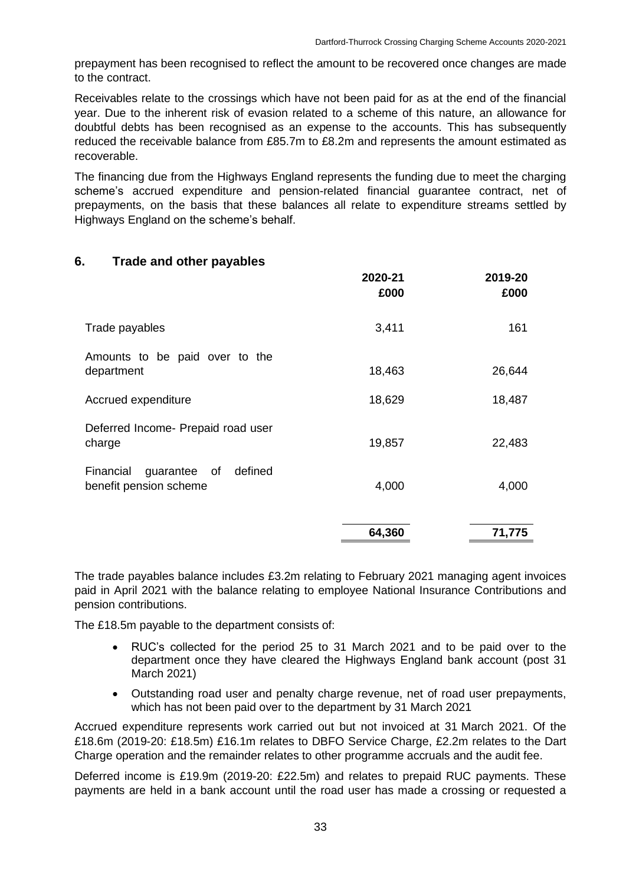prepayment has been recognised to reflect the amount to be recovered once changes are made to the contract.

Receivables relate to the crossings which have not been paid for as at the end of the financial year. Due to the inherent risk of evasion related to a scheme of this nature, an allowance for doubtful debts has been recognised as an expense to the accounts. This has subsequently reduced the receivable balance from £85.7m to £8.2m and represents the amount estimated as recoverable.

The financing due from the Highways England represents the funding due to meet the charging scheme's accrued expenditure and pension-related financial guarantee contract, net of prepayments, on the basis that these balances all relate to expenditure streams settled by Highways England on the scheme's behalf.

### **6. Trade and other payables**

|                                                             | 2020-21<br>£000 | 2019-20<br>£000 |
|-------------------------------------------------------------|-----------------|-----------------|
| Trade payables                                              | 3,411           | 161             |
| Amounts to be paid over to the<br>department                | 18,463          | 26,644          |
| Accrued expenditure                                         | 18,629          | 18,487          |
| Deferred Income- Prepaid road user<br>charge                | 19,857          | 22,483          |
| guarantee of defined<br>Financial<br>benefit pension scheme | 4,000           | 4,000           |
|                                                             | 64,360          | 71,775          |

The trade payables balance includes £3.2m relating to February 2021 managing agent invoices paid in April 2021 with the balance relating to employee National Insurance Contributions and pension contributions.

The £18.5m payable to the department consists of:

- RUC's collected for the period 25 to 31 March 2021 and to be paid over to the department once they have cleared the Highways England bank account (post 31 March 2021)
- Outstanding road user and penalty charge revenue, net of road user prepayments, which has not been paid over to the department by 31 March 2021

Accrued expenditure represents work carried out but not invoiced at 31 March 2021. Of the £18.6m (2019-20: £18.5m) £16.1m relates to DBFO Service Charge, £2.2m relates to the Dart Charge operation and the remainder relates to other programme accruals and the audit fee.

Deferred income is £19.9m (2019-20: £22.5m) and relates to prepaid RUC payments. These payments are held in a bank account until the road user has made a crossing or requested a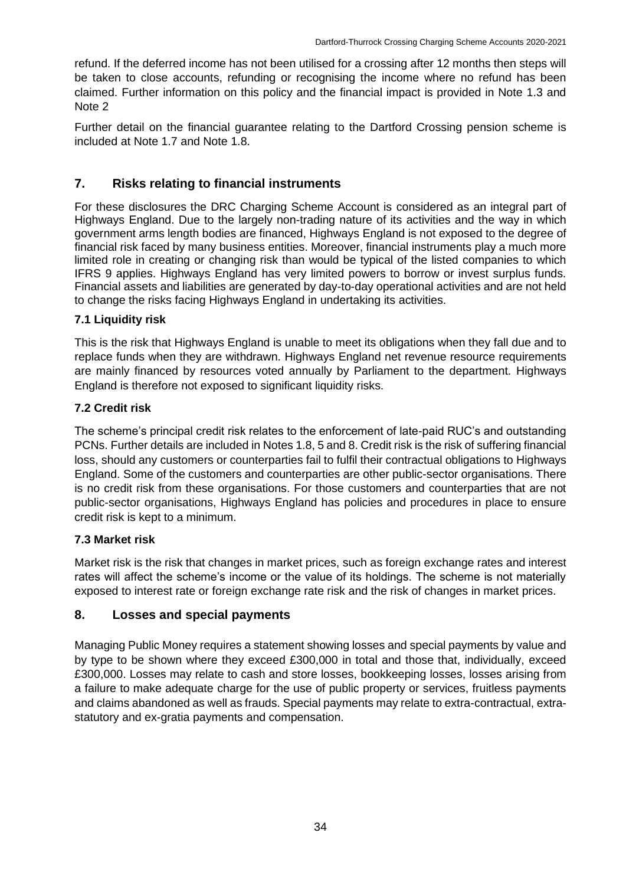refund. If the deferred income has not been utilised for a crossing after 12 months then steps will be taken to close accounts, refunding or recognising the income where no refund has been claimed. Further information on this policy and the financial impact is provided in Note 1.3 and Note 2

Further detail on the financial guarantee relating to the Dartford Crossing pension scheme is included at Note 1.7 and Note 1.8.

# **7. Risks relating to financial instruments**

For these disclosures the DRC Charging Scheme Account is considered as an integral part of Highways England. Due to the largely non-trading nature of its activities and the way in which government arms length bodies are financed, Highways England is not exposed to the degree of financial risk faced by many business entities. Moreover, financial instruments play a much more limited role in creating or changing risk than would be typical of the listed companies to which IFRS 9 applies. Highways England has very limited powers to borrow or invest surplus funds. Financial assets and liabilities are generated by day-to-day operational activities and are not held to change the risks facing Highways England in undertaking its activities.

### **7.1 Liquidity risk**

This is the risk that Highways England is unable to meet its obligations when they fall due and to replace funds when they are withdrawn. Highways England net revenue resource requirements are mainly financed by resources voted annually by Parliament to the department. Highways England is therefore not exposed to significant liquidity risks.

## **7.2 Credit risk**

The scheme's principal credit risk relates to the enforcement of late-paid RUC's and outstanding PCNs. Further details are included in Notes 1.8, 5 and 8. Credit risk is the risk of suffering financial loss, should any customers or counterparties fail to fulfil their contractual obligations to Highways England. Some of the customers and counterparties are other public-sector organisations. There is no credit risk from these organisations. For those customers and counterparties that are not public-sector organisations, Highways England has policies and procedures in place to ensure credit risk is kept to a minimum.

## **7.3 Market risk**

Market risk is the risk that changes in market prices, such as foreign exchange rates and interest rates will affect the scheme's income or the value of its holdings. The scheme is not materially exposed to interest rate or foreign exchange rate risk and the risk of changes in market prices.

## **8. Losses and special payments**

Managing Public Money requires a statement showing losses and special payments by value and by type to be shown where they exceed £300,000 in total and those that, individually, exceed £300,000. Losses may relate to cash and store losses, bookkeeping losses, losses arising from a failure to make adequate charge for the use of public property or services, fruitless payments and claims abandoned as well as frauds. Special payments may relate to extra-contractual, extrastatutory and ex-gratia payments and compensation.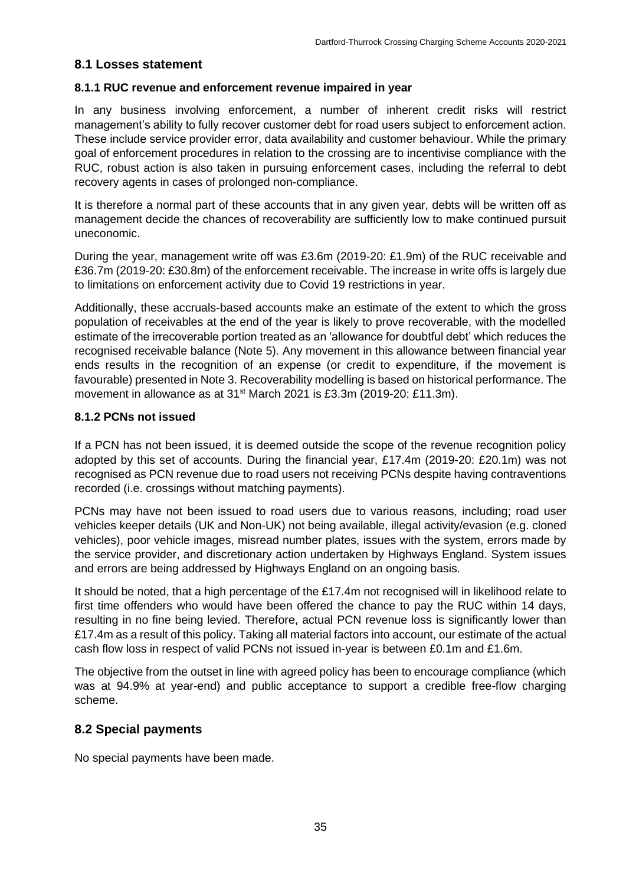### **8.1 Losses statement**

#### **8.1.1 RUC revenue and enforcement revenue impaired in year**

In any business involving enforcement, a number of inherent credit risks will restrict management's ability to fully recover customer debt for road users subject to enforcement action. These include service provider error, data availability and customer behaviour. While the primary goal of enforcement procedures in relation to the crossing are to incentivise compliance with the RUC, robust action is also taken in pursuing enforcement cases, including the referral to debt recovery agents in cases of prolonged non-compliance.

It is therefore a normal part of these accounts that in any given year, debts will be written off as management decide the chances of recoverability are sufficiently low to make continued pursuit uneconomic.

During the year, management write off was £3.6m (2019-20: £1.9m) of the RUC receivable and £36.7m (2019-20: £30.8m) of the enforcement receivable. The increase in write offs is largely due to limitations on enforcement activity due to Covid 19 restrictions in year.

Additionally, these accruals-based accounts make an estimate of the extent to which the gross population of receivables at the end of the year is likely to prove recoverable, with the modelled estimate of the irrecoverable portion treated as an 'allowance for doubtful debt' which reduces the recognised receivable balance (Note 5). Any movement in this allowance between financial year ends results in the recognition of an expense (or credit to expenditure, if the movement is favourable) presented in Note 3. Recoverability modelling is based on historical performance. The movement in allowance as at 31<sup>st</sup> March 2021 is £3.3m (2019-20: £11.3m).

#### **8.1.2 PCNs not issued**

If a PCN has not been issued, it is deemed outside the scope of the revenue recognition policy adopted by this set of accounts. During the financial year, £17.4m (2019-20: £20.1m) was not recognised as PCN revenue due to road users not receiving PCNs despite having contraventions recorded (i.e. crossings without matching payments).

PCNs may have not been issued to road users due to various reasons, including; road user vehicles keeper details (UK and Non-UK) not being available, illegal activity/evasion (e.g. cloned vehicles), poor vehicle images, misread number plates, issues with the system, errors made by the service provider, and discretionary action undertaken by Highways England. System issues and errors are being addressed by Highways England on an ongoing basis.

It should be noted, that a high percentage of the £17.4m not recognised will in likelihood relate to first time offenders who would have been offered the chance to pay the RUC within 14 days, resulting in no fine being levied. Therefore, actual PCN revenue loss is significantly lower than £17.4m as a result of this policy. Taking all material factors into account, our estimate of the actual cash flow loss in respect of valid PCNs not issued in-year is between £0.1m and £1.6m.

The objective from the outset in line with agreed policy has been to encourage compliance (which was at 94.9% at year-end) and public acceptance to support a credible free-flow charging scheme.

### **8.2 Special payments**

No special payments have been made.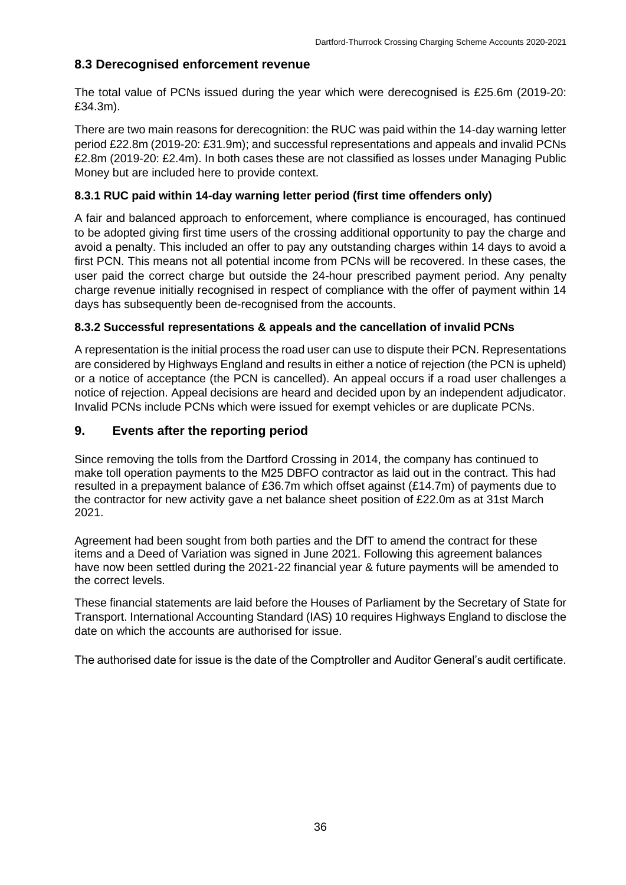### **8.3 Derecognised enforcement revenue**

The total value of PCNs issued during the year which were derecognised is £25.6m (2019-20: £34.3m).

There are two main reasons for derecognition: the RUC was paid within the 14-day warning letter period £22.8m (2019-20: £31.9m); and successful representations and appeals and invalid PCNs £2.8m (2019-20: £2.4m). In both cases these are not classified as losses under Managing Public Money but are included here to provide context.

### **8.3.1 RUC paid within 14-day warning letter period (first time offenders only)**

A fair and balanced approach to enforcement, where compliance is encouraged, has continued to be adopted giving first time users of the crossing additional opportunity to pay the charge and avoid a penalty. This included an offer to pay any outstanding charges within 14 days to avoid a first PCN. This means not all potential income from PCNs will be recovered. In these cases, the user paid the correct charge but outside the 24-hour prescribed payment period. Any penalty charge revenue initially recognised in respect of compliance with the offer of payment within 14 days has subsequently been de-recognised from the accounts.

### **8.3.2 Successful representations & appeals and the cancellation of invalid PCNs**

A representation is the initial process the road user can use to dispute their PCN. Representations are considered by Highways England and results in either a notice of rejection (the PCN is upheld) or a notice of acceptance (the PCN is cancelled). An appeal occurs if a road user challenges a notice of rejection. Appeal decisions are heard and decided upon by an independent adjudicator. Invalid PCNs include PCNs which were issued for exempt vehicles or are duplicate PCNs.

### **9. Events after the reporting period**

Since removing the tolls from the Dartford Crossing in 2014, the company has continued to make toll operation payments to the M25 DBFO contractor as laid out in the contract. This had resulted in a prepayment balance of £36.7m which offset against (£14.7m) of payments due to the contractor for new activity gave a net balance sheet position of £22.0m as at 31st March 2021.

Agreement had been sought from both parties and the DfT to amend the contract for these items and a Deed of Variation was signed in June 2021. Following this agreement balances have now been settled during the 2021-22 financial year & future payments will be amended to the correct levels.

These financial statements are laid before the Houses of Parliament by the Secretary of State for Transport. International Accounting Standard (IAS) 10 requires Highways England to disclose the date on which the accounts are authorised for issue.

The authorised date for issue is the date of the Comptroller and Auditor General's audit certificate.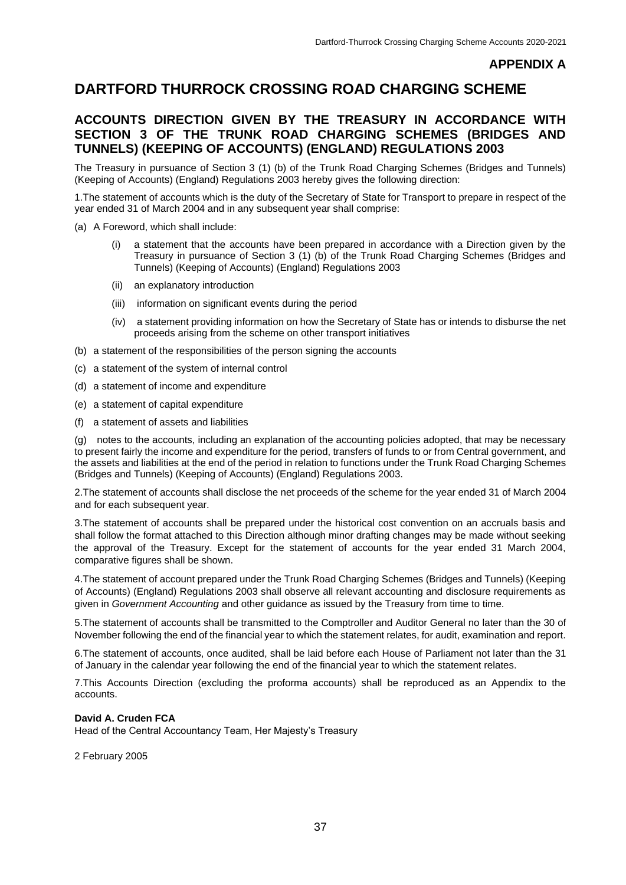#### **APPENDIX A**

# **DARTFORD THURROCK CROSSING ROAD CHARGING SCHEME**

### **ACCOUNTS DIRECTION GIVEN BY THE TREASURY IN ACCORDANCE WITH SECTION 3 OF THE TRUNK ROAD CHARGING SCHEMES (BRIDGES AND TUNNELS) (KEEPING OF ACCOUNTS) (ENGLAND) REGULATIONS 2003**

The Treasury in pursuance of Section 3 (1) (b) of the Trunk Road Charging Schemes (Bridges and Tunnels) (Keeping of Accounts) (England) Regulations 2003 hereby gives the following direction:

1.The statement of accounts which is the duty of the Secretary of State for Transport to prepare in respect of the year ended 31 of March 2004 and in any subsequent year shall comprise:

(a) A Foreword, which shall include:

- (i) a statement that the accounts have been prepared in accordance with a Direction given by the Treasury in pursuance of Section 3 (1) (b) of the Trunk Road Charging Schemes (Bridges and Tunnels) (Keeping of Accounts) (England) Regulations 2003
- (ii) an explanatory introduction
- (iii) information on significant events during the period
- (iv) a statement providing information on how the Secretary of State has or intends to disburse the net proceeds arising from the scheme on other transport initiatives
- (b) a statement of the responsibilities of the person signing the accounts
- (c) a statement of the system of internal control
- (d) a statement of income and expenditure
- (e) a statement of capital expenditure
- (f) a statement of assets and liabilities

(g) notes to the accounts, including an explanation of the accounting policies adopted, that may be necessary to present fairly the income and expenditure for the period, transfers of funds to or from Central government, and the assets and liabilities at the end of the period in relation to functions under the Trunk Road Charging Schemes (Bridges and Tunnels) (Keeping of Accounts) (England) Regulations 2003.

2.The statement of accounts shall disclose the net proceeds of the scheme for the year ended 31 of March 2004 and for each subsequent year.

3.The statement of accounts shall be prepared under the historical cost convention on an accruals basis and shall follow the format attached to this Direction although minor drafting changes may be made without seeking the approval of the Treasury. Except for the statement of accounts for the year ended 31 March 2004, comparative figures shall be shown.

4.The statement of account prepared under the Trunk Road Charging Schemes (Bridges and Tunnels) (Keeping of Accounts) (England) Regulations 2003 shall observe all relevant accounting and disclosure requirements as given in *Government Accounting* and other guidance as issued by the Treasury from time to time.

5.The statement of accounts shall be transmitted to the Comptroller and Auditor General no later than the 30 of November following the end of the financial year to which the statement relates, for audit, examination and report.

6.The statement of accounts, once audited, shall be laid before each House of Parliament not later than the 31 of January in the calendar year following the end of the financial year to which the statement relates.

7.This Accounts Direction (excluding the proforma accounts) shall be reproduced as an Appendix to the accounts.

#### **David A. Cruden FCA**

Head of the Central Accountancy Team, Her Majesty's Treasury

2 February 2005